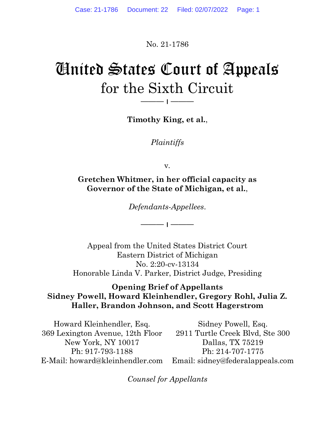No. 21-1786

# United States Court of Appeals for the Sixth Circuit

Timothy King, et al.,

——— ׀ ———

Plaintiffs

v.

Gretchen Whitmer, in her official capacity as Governor of the State of Michigan, et al.,

Defendants-Appellees.

——— ׀ ———

Appeal from the United States District Court Eastern District of Michigan No. 2:20-cv-13134 Honorable Linda V. Parker, District Judge, Presiding

#### Opening Brief of Appellants Sidney Powell, Howard Kleinhendler, Gregory Rohl, Julia Z. Haller, Brandon Johnson, and Scott Hagerstrom

Howard Kleinhendler, Esq. 369 Lexington Avenue, 12th Floor New York, NY 10017 Ph: 917-793-1188 E-Mail: howard@kleinhendler.com Sidney Powell, Esq. 2911 Turtle Creek Blvd, Ste 300 Dallas, TX 75219 Ph: 214-707-1775 Email: sidney@federalappeals.com

Counsel for Appellants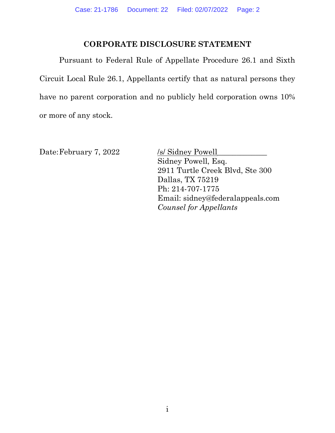#### CORPORATE DISCLOSURE STATEMENT

 Pursuant to Federal Rule of Appellate Procedure 26.1 and Sixth Circuit Local Rule 26.1, Appellants certify that as natural persons they have no parent corporation and no publicly held corporation owns 10% or more of any stock.

Date: February 7, 2022 /s/ Sidney Powell

Sidney Powell, Esq. 2911 Turtle Creek Blvd, Ste 300 Dallas, TX 75219 Ph: 214-707-1775 Email: sidney@federalappeals.com Counsel for Appellants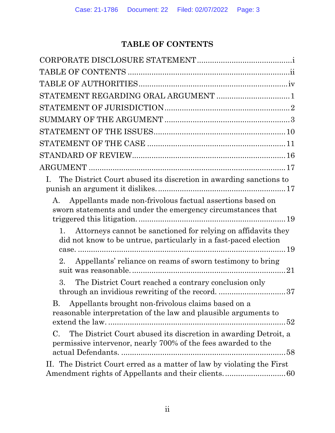## TABLE OF CONTENTS

| STATEMENT REGARDING ORAL ARGUMENT 1                                                                                                    |
|----------------------------------------------------------------------------------------------------------------------------------------|
|                                                                                                                                        |
|                                                                                                                                        |
|                                                                                                                                        |
|                                                                                                                                        |
|                                                                                                                                        |
|                                                                                                                                        |
| The District Court abused its discretion in awarding sanctions to<br>Ι.                                                                |
| Appellants made non-frivolous factual assertions based on<br>A.<br>sworn statements and under the emergency circumstances that         |
| Attorneys cannot be sanctioned for relying on affidavits they<br>did not know to be untrue, particularly in a fast-paced election      |
| Appellants' reliance on reams of sworn testimony to bring<br>2.                                                                        |
| The District Court reached a contrary conclusion only<br>3.<br>through an invidious rewriting of the record37                          |
| Appellants brought non-frivolous claims based on a<br>В.<br>reasonable interpretation of the law and plausible arguments to            |
| The District Court abused its discretion in awarding Detroit, a<br>C.<br>permissive intervenor, nearly 700% of the fees awarded to the |
| II. The District Court erred as a matter of law by violating the First                                                                 |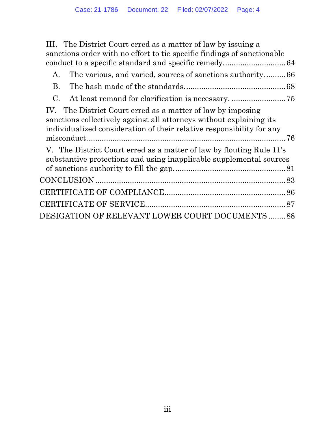III. The District Court erred as a matter of law by issuing a sanctions order with no effort to tie specific findings of sanctionable conduct to a specific standard and specific remedy. ............................ 64

| А.                                                                                                                                                                                                          |
|-------------------------------------------------------------------------------------------------------------------------------------------------------------------------------------------------------------|
| <b>B.</b>                                                                                                                                                                                                   |
| $\mathcal{C}_{\cdot}$                                                                                                                                                                                       |
| IV. The District Court erred as a matter of law by imposing<br>sanctions collectively against all attorneys without explaining its<br>individualized consideration of their relative responsibility for any |
| V. The District Court erred as a matter of law by flouting Rule 11's<br>substantive protections and using inapplicable supplemental sources                                                                 |
|                                                                                                                                                                                                             |
|                                                                                                                                                                                                             |
|                                                                                                                                                                                                             |
| DESIGATION OF RELEVANT LOWER COURT DOCUMENTS 88                                                                                                                                                             |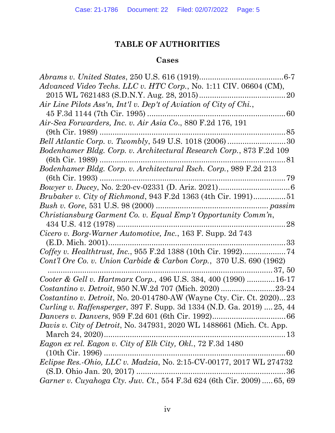## TABLE OF AUTHORITIES

## Cases

| . 6-7                                                                  |
|------------------------------------------------------------------------|
| Advanced Video Techs. LLC v. HTC Corp., No. 1:11 CIV. 06604 (CM),      |
|                                                                        |
| Air Line Pilots Ass'n, Int'l v. Dep't of Aviation of City of Chi.,     |
| 45 F.3d 1144 (7th Cir. 1995)                                           |
| Air-Sea Forwarders, Inc. v. Air Asia Co., 880 F.2d 176, 191            |
| $(9th$ Cir. 1989)                                                      |
| Bell Atlantic Corp. v. Twombly, 549 U.S. 1018 (2006) 30                |
| Bodenhamer Bldg. Corp. v. Architectural Research Corp., 873 F.2d 109   |
| $(6th$ Cir. 1989)<br>81<br>                                            |
| Bodenhamer Bldg. Corp. v. Architectural Rsch. Corp., 989 F.2d 213      |
|                                                                        |
|                                                                        |
| <i>Brubaker v. City of Richmond, 943 F.2d 1363 (4th Cir. 1991)51</i>   |
|                                                                        |
| Christiansburg Garment Co. v. Equal Emp't Opportunity Comm'n,          |
| 434 U.S. $412$ (1978)<br>28                                            |
| Cicero v. Borg-Warner Automotive, Inc., 163 F. Supp. 2d 743            |
|                                                                        |
| Coffey v. Healthtrust, Inc., 955 F.2d 1388 (10th Cir. 1992)74          |
| Cont'l Ore Co. v. Union Carbide & Carbon Corp., $370$ U.S. 690 (1962)  |
|                                                                        |
| Cooter & Gell v. Hartmarx Corp., 496 U.S. 384, 400 (1990) 16-17        |
| Costantino v. Detroit, 950 N.W.2d 707 (Mich. 2020) 23-24               |
| Costantino v. Detroit, No. 20-014780-AW (Wayne Cty. Cir. Ct. 2020)23   |
| Curling v. Raffensperger, 397 F. Supp. 3d 1334 (N.D. Ga. 2019)  25, 44 |
| <i>Danvers v. Danvers, 959 F.2d 601 (6th Cir. 1992)</i><br>$.66\,$     |
| Davis v. City of Detroit, No. 347931, 2020 WL 1488661 (Mich. Ct. App.  |
|                                                                        |
| Eagon ex rel. Eagon v. City of Elk City, Okl., 72 F.3d 1480            |
| $(10th$ Cir. 1996)                                                     |
| Eclipse Res.-Ohio, LLC v. Madzia, No. 2:15-CV-00177, 2017 WL 274732    |
|                                                                        |
| Garner v. Cuyahoga Cty. Juv. Ct., 554 F.3d 624 (6th Cir. 2009)  65, 69 |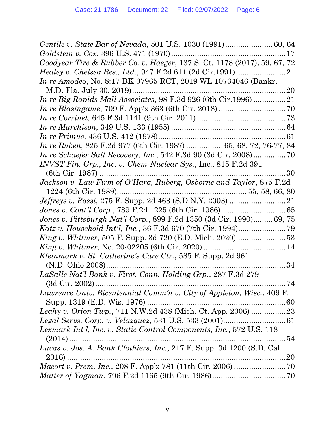| Goodyear Tire & Rubber Co. v. Haeger, 137 S. Ct. 1178 (2017). 59, 67, 72 |
|--------------------------------------------------------------------------|
| <i>Healey v. Chelsea Res., Ltd., 947 F.2d 611 (2d Cir.1991)</i>          |
| <i>In re Amodeo</i> , No. 8:17-BK-07965-RCT, 2019 WL 10734046 (Bankr.    |
|                                                                          |
| In re Big Rapids Mall Associates, 98 F.3d 926 (6th Cir.1996) 21          |
|                                                                          |
|                                                                          |
|                                                                          |
|                                                                          |
| In re Ruben, 825 F.2d 977 (6th Cir. 1987)  65, 68, 72, 76-77, 84         |
| <i>In re Schaefer Salt Recovery, Inc., 542 F.3d 90 (3d Cir. 2008)</i> 70 |
| INVST Fin. Grp., Inc. v. Chem-Nuclear Sys., Inc., 815 F.2d 391           |
| 30                                                                       |
| Jackson v. Law Firm of O'Hara, Ruberg, Osborne and Taylor, 875 F.2d      |
|                                                                          |
| <i>Jeffreys v. Rossi, 275 F. Supp. 2d 463 (S.D.N.Y. 2003) </i>           |
|                                                                          |
| Jones v. Pittsburgh Nat'l Corp., 899 F.2d 1350 (3d Cir. 1990)69, 75      |
|                                                                          |
|                                                                          |
|                                                                          |
| <i>Kleinmark v. St. Catherine's Care Ctr.</i> , 585 F. Supp. 2d 961      |
| . 34                                                                     |
| LaSalle Nat'l Bank v. First. Conn. Holding Grp., 287 F.3d 279            |
| 74                                                                       |
| Lawrence Univ. Bicentennial Comm'n v. City of Appleton, Wisc., 409 F.    |
|                                                                          |
| Leahy v. Orion Twp., 711 N.W.2d 438 (Mich. Ct. App. 2006) 23             |
|                                                                          |
| Lexmark Int'l, Inc. v. Static Control Components, Inc., 572 U.S. 118     |
|                                                                          |
| Lucas v. Jos. A. Bank Clothiers, Inc., 217 F. Supp. 3d 1200 (S.D. Cal.   |
|                                                                          |
|                                                                          |
|                                                                          |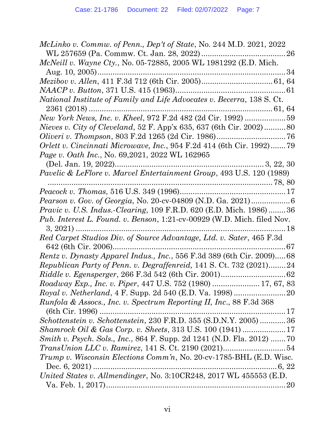| McLinko v. Commw. of Penn., Dep't of State, No. 244 M.D. 2021, 2022             |
|---------------------------------------------------------------------------------|
|                                                                                 |
| <i>McNeill v. Wayne Cty.</i> , No. 05-72885, 2005 WL 1981292 (E.D. Mich.        |
| 34                                                                              |
|                                                                                 |
|                                                                                 |
| National Institute of Family and Life Advocates v. Becerra, 138 S. Ct.          |
|                                                                                 |
|                                                                                 |
| <i>Nieves v. City of Cleveland</i> , 52 F. App'x 635, 637 (6th Cir. 2002)80     |
|                                                                                 |
| Orlett v. Cincinnati Microwave, Inc., 954 F.2d 414 (6th Cir. 1992)79            |
| <i>Page v. Oath Inc., No.</i> 69,2021, 2022 WL 162965                           |
|                                                                                 |
| <i>Pavelic &amp; LeFlore v. Marvel Entertainment Group, 493 U.S. 120 (1989)</i> |
|                                                                                 |
|                                                                                 |
| <i>Pearson v. Gov. of Georgia, No. 20-cv-04809 (N.D. Ga. 2021)</i> 6            |
| <i>Pravic v. U.S. Indus.-Clearing, 109 F.R.D. 620 (E.D. Mich. 1986) 36</i>      |
| Pub. Interest L. Found. v. Benson, 1:21-cv-00929 (W.D. Mich. filed Nov.         |
|                                                                                 |
| Red Carpet Studios Div. of Source Advantage, Ltd. v. Sater, 465 F.3d            |
|                                                                                 |
| Rentz v. Dynasty Apparel Indus., Inc., 556 F.3d 389 (6th Cir. 2009) 68          |
| Republican Party of Penn. v. Degraffenreid, 141 S. Ct. 732 (2021)24             |
|                                                                                 |
| Roadway Exp., Inc. v. Piper, 447 U.S. 752 (1980)  17, 67, 83                    |
|                                                                                 |
| Runfola & Assocs., Inc. v. Spectrum Reporting II, Inc., 88 F.3d 368             |
|                                                                                 |
| Schottenstein v. Schottenstein, 230 F.R.D. 355 (S.D.N.Y. 2005)  36              |
| Shamrock Oil & Gas Corp. v. Sheets, 313 U.S. 100 (1941) 17                      |
| Smith v. Psych. Sols., Inc., 864 F. Supp. 2d 1241 (N.D. Fla. 2012)  70          |
|                                                                                 |
| <i>Trump v. Wisconsin Elections Comm'n, No. 20-cv-1785-BHL (E.D. Wisc.</i>      |
|                                                                                 |
| United States v. Allmendinger, No. 3:10CR248, 2017 WL 455553 (E.D.              |
|                                                                                 |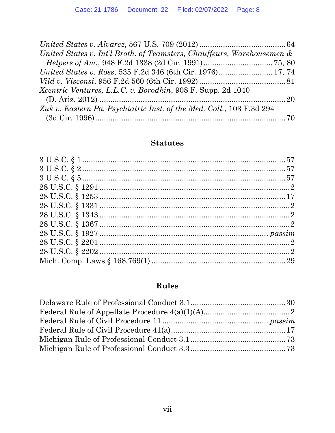| United States v. Int'l Broth. of Teamsters, Chauffeurs, Warehousemen & |  |
|------------------------------------------------------------------------|--|
|                                                                        |  |
|                                                                        |  |
|                                                                        |  |
| <i>Xcentric Ventures, L.L.C. v. Borodkin, 908 F. Supp. 2d 1040</i>     |  |
|                                                                        |  |
| Zuk v. Eastern Pa. Psychiatric Inst. of the Med. Coll., 103 F.3d 294   |  |
|                                                                        |  |

## **Statutes**

# Rules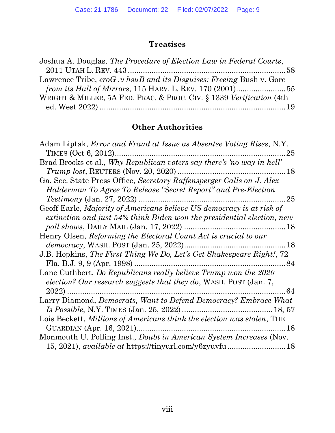# **Treatises**

| Joshua A. Douglas, The Procedure of Election Law in Federal Courts,  |  |
|----------------------------------------------------------------------|--|
|                                                                      |  |
| Lawrence Tribe, eroG.v hsuB and its Disguises: Freeing Bush v. Gore  |  |
|                                                                      |  |
| WRIGHT & MILLER, 5A FED. PRAC. & PROC. CIV. § 1339 Verification (4th |  |
|                                                                      |  |

# Other Authorities

| Adam Liptak, <i>Error and Fraud at Issue as Absentee Voting Rises</i> , N.Y. |
|------------------------------------------------------------------------------|
| 25                                                                           |
| Brad Brooks et al., Why Republican voters say there's 'no way in hell'       |
| . 18                                                                         |
| Ga. Sec. State Press Office, Secretary Raffensperger Calls on J. Alex        |
| Halderman To Agree To Release "Secret Report" and Pre-Election               |
|                                                                              |
| Geoff Earle, Majority of Americans believe US democracy is at risk of        |
| extinction and just 54% think Biden won the presidential election, new       |
|                                                                              |
| Henry Olsen, Reforming the Electoral Count Act is crucial to our             |
|                                                                              |
| J.B. Hopkins, The First Thing We Do, Let's Get Shakespeare Right!, 72        |
| 84                                                                           |
| Lane Cuthbert, Do Republicans really believe Trump won the 2020              |
| election? Our research suggests that they do, WASH. POST (Jan. 7,            |
| $2022$ ).<br>64                                                              |
| Larry Diamond, Democrats, Want to Defend Democracy? Embrace What             |
|                                                                              |
| Lois Beckett, Millions of Americans think the election was stolen, THE       |
|                                                                              |
| Monmouth U. Polling Inst., <i>Doubt in American System Increases</i> (Nov.   |
|                                                                              |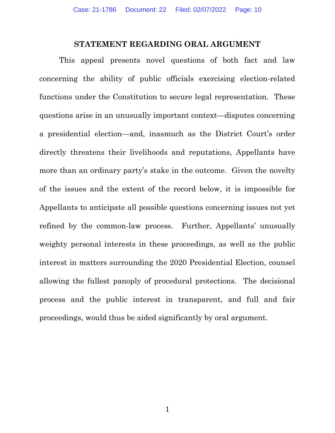#### STATEMENT REGARDING ORAL ARGUMENT

This appeal presents novel questions of both fact and law concerning the ability of public officials exercising election-related functions under the Constitution to secure legal representation. These questions arise in an unusually important context—disputes concerning a presidential election—and, inasmuch as the District Court's order directly threatens their livelihoods and reputations, Appellants have more than an ordinary party's stake in the outcome. Given the novelty of the issues and the extent of the record below, it is impossible for Appellants to anticipate all possible questions concerning issues not yet refined by the common-law process. Further, Appellants' unusually weighty personal interests in these proceedings, as well as the public interest in matters surrounding the 2020 Presidential Election, counsel allowing the fullest panoply of procedural protections. The decisional process and the public interest in transparent, and full and fair proceedings, would thus be aided significantly by oral argument.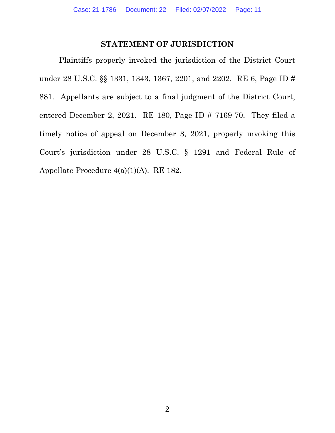#### STATEMENT OF JURISDICTION

 Plaintiffs properly invoked the jurisdiction of the District Court under 28 U.S.C. §§ 1331, 1343, 1367, 2201, and 2202. RE 6, Page ID # 881. Appellants are subject to a final judgment of the District Court, entered December 2, 2021. RE 180, Page ID # 7169-70. They filed a timely notice of appeal on December 3, 2021, properly invoking this Court's jurisdiction under 28 U.S.C. § 1291 and Federal Rule of Appellate Procedure 4(a)(1)(A). RE 182.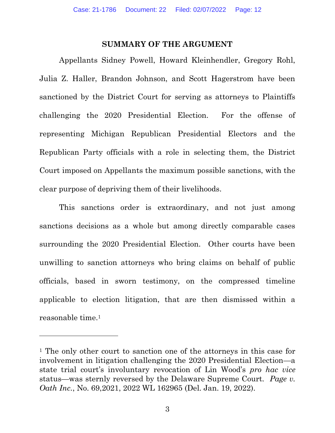#### SUMMARY OF THE ARGUMENT

 Appellants Sidney Powell, Howard Kleinhendler, Gregory Rohl, Julia Z. Haller, Brandon Johnson, and Scott Hagerstrom have been sanctioned by the District Court for serving as attorneys to Plaintiffs challenging the 2020 Presidential Election. For the offense of representing Michigan Republican Presidential Electors and the Republican Party officials with a role in selecting them, the District Court imposed on Appellants the maximum possible sanctions, with the clear purpose of depriving them of their livelihoods.

This sanctions order is extraordinary, and not just among sanctions decisions as a whole but among directly comparable cases surrounding the 2020 Presidential Election. Other courts have been unwilling to sanction attorneys who bring claims on behalf of public officials, based in sworn testimony, on the compressed timeline applicable to election litigation, that are then dismissed within a reasonable time.<sup>1</sup>

<sup>&</sup>lt;sup>1</sup> The only other court to sanction one of the attorneys in this case for involvement in litigation challenging the 2020 Presidential Election—a state trial court's involuntary revocation of Lin Wood's pro hac vice status—was sternly reversed by the Delaware Supreme Court. Page v. Oath Inc., No. 69,2021, 2022 WL 162965 (Del. Jan. 19, 2022).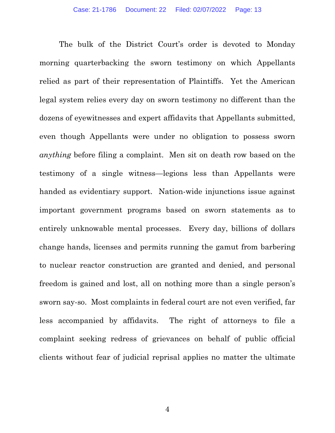The bulk of the District Court's order is devoted to Monday morning quarterbacking the sworn testimony on which Appellants relied as part of their representation of Plaintiffs. Yet the American legal system relies every day on sworn testimony no different than the dozens of eyewitnesses and expert affidavits that Appellants submitted, even though Appellants were under no obligation to possess sworn anything before filing a complaint. Men sit on death row based on the testimony of a single witness—legions less than Appellants were handed as evidentiary support. Nation-wide injunctions issue against important government programs based on sworn statements as to entirely unknowable mental processes. Every day, billions of dollars change hands, licenses and permits running the gamut from barbering to nuclear reactor construction are granted and denied, and personal freedom is gained and lost, all on nothing more than a single person's sworn say-so. Most complaints in federal court are not even verified, far less accompanied by affidavits. The right of attorneys to file a complaint seeking redress of grievances on behalf of public official clients without fear of judicial reprisal applies no matter the ultimate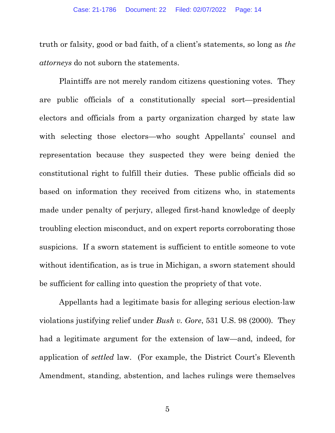truth or falsity, good or bad faith, of a client's statements, so long as the attorneys do not suborn the statements.

Plaintiffs are not merely random citizens questioning votes. They are public officials of a constitutionally special sort—presidential electors and officials from a party organization charged by state law with selecting those electors—who sought Appellants' counsel and representation because they suspected they were being denied the constitutional right to fulfill their duties. These public officials did so based on information they received from citizens who, in statements made under penalty of perjury, alleged first-hand knowledge of deeply troubling election misconduct, and on expert reports corroborating those suspicions. If a sworn statement is sufficient to entitle someone to vote without identification, as is true in Michigan, a sworn statement should be sufficient for calling into question the propriety of that vote.

Appellants had a legitimate basis for alleging serious election-law violations justifying relief under Bush v. Gore, 531 U.S. 98 (2000). They had a legitimate argument for the extension of law—and, indeed, for application of settled law. (For example, the District Court's Eleventh Amendment, standing, abstention, and laches rulings were themselves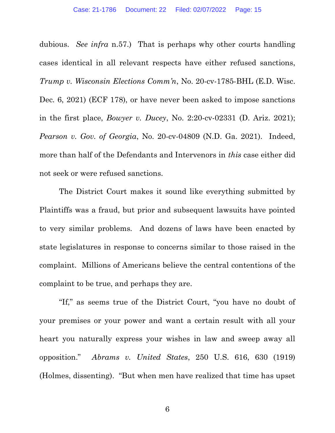dubious. See infra n.57.) That is perhaps why other courts handling cases identical in all relevant respects have either refused sanctions, Trump v. Wisconsin Elections Comm'n, No. 20-cv-1785-BHL (E.D. Wisc. Dec. 6, 2021) (ECF 178), or have never been asked to impose sanctions in the first place, Bowyer v. Ducey, No. 2:20-cv-02331 (D. Ariz. 2021); Pearson v. Gov. of Georgia, No. 20-cv-04809 (N.D. Ga. 2021). Indeed, more than half of the Defendants and Intervenors in this case either did not seek or were refused sanctions.

The District Court makes it sound like everything submitted by Plaintiffs was a fraud, but prior and subsequent lawsuits have pointed to very similar problems. And dozens of laws have been enacted by state legislatures in response to concerns similar to those raised in the complaint. Millions of Americans believe the central contentions of the complaint to be true, and perhaps they are.

"If," as seems true of the District Court, "you have no doubt of your premises or your power and want a certain result with all your heart you naturally express your wishes in law and sweep away all opposition." Abrams v. United States, 250 U.S. 616, 630 (1919) (Holmes, dissenting). "But when men have realized that time has upset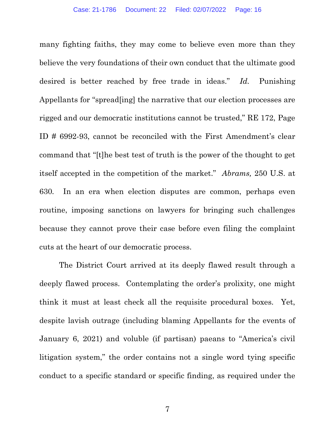many fighting faiths, they may come to believe even more than they believe the very foundations of their own conduct that the ultimate good desired is better reached by free trade in ideas." Id. Punishing Appellants for "spread[ing] the narrative that our election processes are rigged and our democratic institutions cannot be trusted," RE 172, Page ID # 6992-93, cannot be reconciled with the First Amendment's clear command that "[t]he best test of truth is the power of the thought to get itself accepted in the competition of the market." Abrams, 250 U.S. at 630. In an era when election disputes are common, perhaps even routine, imposing sanctions on lawyers for bringing such challenges because they cannot prove their case before even filing the complaint cuts at the heart of our democratic process.

The District Court arrived at its deeply flawed result through a deeply flawed process. Contemplating the order's prolixity, one might think it must at least check all the requisite procedural boxes. Yet, despite lavish outrage (including blaming Appellants for the events of January 6, 2021) and voluble (if partisan) paeans to "America's civil litigation system," the order contains not a single word tying specific conduct to a specific standard or specific finding, as required under the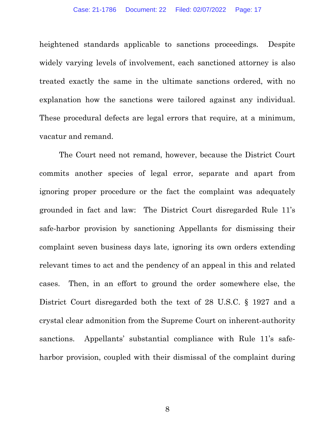heightened standards applicable to sanctions proceedings. Despite widely varying levels of involvement, each sanctioned attorney is also treated exactly the same in the ultimate sanctions ordered, with no explanation how the sanctions were tailored against any individual. These procedural defects are legal errors that require, at a minimum, vacatur and remand.

The Court need not remand, however, because the District Court commits another species of legal error, separate and apart from ignoring proper procedure or the fact the complaint was adequately grounded in fact and law: The District Court disregarded Rule 11's safe-harbor provision by sanctioning Appellants for dismissing their complaint seven business days late, ignoring its own orders extending relevant times to act and the pendency of an appeal in this and related cases. Then, in an effort to ground the order somewhere else, the District Court disregarded both the text of 28 U.S.C. § 1927 and a crystal clear admonition from the Supreme Court on inherent-authority sanctions. Appellants' substantial compliance with Rule 11's safeharbor provision, coupled with their dismissal of the complaint during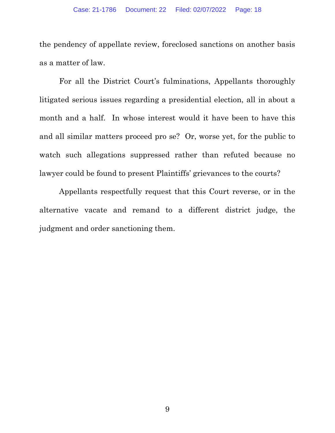the pendency of appellate review, foreclosed sanctions on another basis as a matter of law.

For all the District Court's fulminations, Appellants thoroughly litigated serious issues regarding a presidential election, all in about a month and a half. In whose interest would it have been to have this and all similar matters proceed pro se? Or, worse yet, for the public to watch such allegations suppressed rather than refuted because no lawyer could be found to present Plaintiffs' grievances to the courts?

Appellants respectfully request that this Court reverse, or in the alternative vacate and remand to a different district judge, the judgment and order sanctioning them.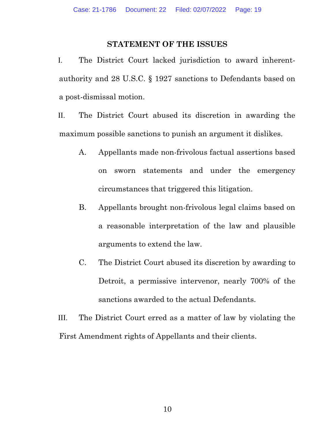#### STATEMENT OF THE ISSUES

I. The District Court lacked jurisdiction to award inherentauthority and 28 U.S.C. § 1927 sanctions to Defendants based on a post-dismissal motion.

II. The District Court abused its discretion in awarding the maximum possible sanctions to punish an argument it dislikes.

- A. Appellants made non-frivolous factual assertions based on sworn statements and under the emergency circumstances that triggered this litigation.
- B. Appellants brought non-frivolous legal claims based on a reasonable interpretation of the law and plausible arguments to extend the law.
- C. The District Court abused its discretion by awarding to Detroit, a permissive intervenor, nearly 700% of the sanctions awarded to the actual Defendants.

III. The District Court erred as a matter of law by violating the First Amendment rights of Appellants and their clients.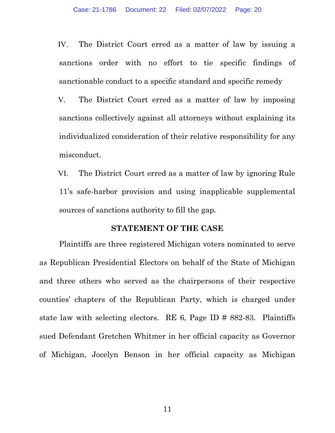IV. The District Court erred as a matter of law by issuing a sanctions order with no effort to tie specific findings of sanctionable conduct to a specific standard and specific remedy

V. The District Court erred as a matter of law by imposing sanctions collectively against all attorneys without explaining its individualized consideration of their relative responsibility for any misconduct.

VI. The District Court erred as a matter of law by ignoring Rule 11's safe-harbor provision and using inapplicable supplemental sources of sanctions authority to fill the gap.

#### STATEMENT OF THE CASE

Plaintiffs are three registered Michigan voters nominated to serve as Republican Presidential Electors on behalf of the State of Michigan and three others who served as the chairpersons of their respective counties' chapters of the Republican Party, which is charged under state law with selecting electors. RE 6, Page ID # 882-83. Plaintiffs sued Defendant Gretchen Whitmer in her official capacity as Governor of Michigan, Jocelyn Benson in her official capacity as Michigan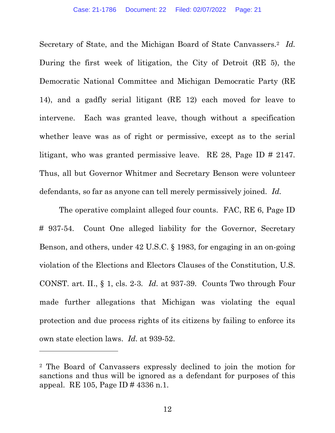Secretary of State, and the Michigan Board of State Canvassers.<sup>2</sup> Id. During the first week of litigation, the City of Detroit (RE 5), the Democratic National Committee and Michigan Democratic Party (RE 14), and a gadfly serial litigant (RE 12) each moved for leave to intervene. Each was granted leave, though without a specification whether leave was as of right or permissive, except as to the serial litigant, who was granted permissive leave. RE 28, Page ID # 2147. Thus, all but Governor Whitmer and Secretary Benson were volunteer defendants, so far as anyone can tell merely permissively joined. Id.

The operative complaint alleged four counts. FAC, RE 6, Page ID # 937-54. Count One alleged liability for the Governor, Secretary Benson, and others, under 42 U.S.C. § 1983, for engaging in an on-going violation of the Elections and Electors Clauses of the Constitution, U.S. CONST. art. II., § 1, cls. 2-3. Id. at 937-39. Counts Two through Four made further allegations that Michigan was violating the equal protection and due process rights of its citizens by failing to enforce its own state election laws. Id. at 939-52.

<sup>2</sup> The Board of Canvassers expressly declined to join the motion for sanctions and thus will be ignored as a defendant for purposes of this appeal. RE 105, Page ID # 4336 n.1.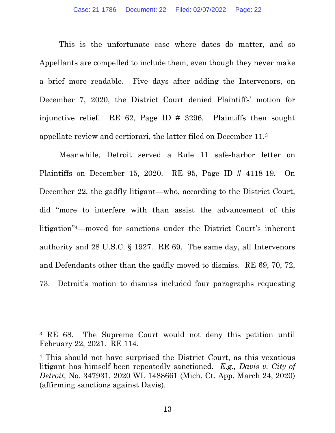This is the unfortunate case where dates do matter, and so Appellants are compelled to include them, even though they never make a brief more readable. Five days after adding the Intervenors, on December 7, 2020, the District Court denied Plaintiffs' motion for injunctive relief. RE 62, Page ID # 3296. Plaintiffs then sought appellate review and certiorari, the latter filed on December 11.<sup>3</sup>

Meanwhile, Detroit served a Rule 11 safe-harbor letter on Plaintiffs on December 15, 2020. RE 95, Page ID # 4118-19. On December 22, the gadfly litigant—who, according to the District Court, did "more to interfere with than assist the advancement of this litigation"4—moved for sanctions under the District Court's inherent authority and 28 U.S.C. § 1927. RE 69. The same day, all Intervenors and Defendants other than the gadfly moved to dismiss. RE 69, 70, 72, 73. Detroit's motion to dismiss included four paragraphs requesting

<sup>3</sup> RE 68. The Supreme Court would not deny this petition until February 22, 2021. RE 114.

<sup>4</sup> This should not have surprised the District Court, as this vexatious litigant has himself been repeatedly sanctioned. E.g., Davis v. City of Detroit, No. 347931, 2020 WL 1488661 (Mich. Ct. App. March 24, 2020) (affirming sanctions against Davis).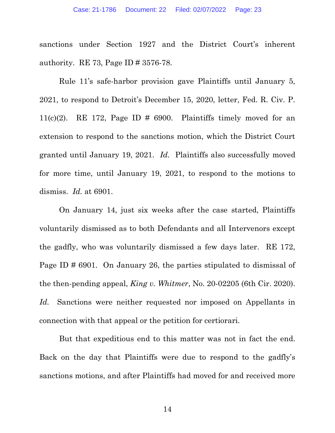sanctions under Section 1927 and the District Court's inherent authority. RE 73, Page ID # 3576-78.

Rule 11's safe-harbor provision gave Plaintiffs until January 5, 2021, to respond to Detroit's December 15, 2020, letter, Fed. R. Civ. P. 11(c)(2). RE 172, Page ID  $\#$  6900. Plaintiffs timely moved for an extension to respond to the sanctions motion, which the District Court granted until January 19, 2021. Id. Plaintiffs also successfully moved for more time, until January 19, 2021, to respond to the motions to dismiss.  $Id.$  at 6901.

On January 14, just six weeks after the case started, Plaintiffs voluntarily dismissed as to both Defendants and all Intervenors except the gadfly, who was voluntarily dismissed a few days later. RE 172, Page ID # 6901. On January 26, the parties stipulated to dismissal of the then-pending appeal, King v. Whitmer, No. 20-02205 (6th Cir. 2020). Id. Sanctions were neither requested nor imposed on Appellants in connection with that appeal or the petition for certiorari.

But that expeditious end to this matter was not in fact the end. Back on the day that Plaintiffs were due to respond to the gadfly's sanctions motions, and after Plaintiffs had moved for and received more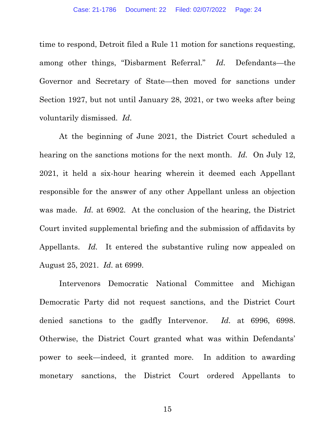time to respond, Detroit filed a Rule 11 motion for sanctions requesting, among other things, "Disbarment Referral." Id. Defendants—the Governor and Secretary of State—then moved for sanctions under Section 1927, but not until January 28, 2021, or two weeks after being voluntarily dismissed. Id.

At the beginning of June 2021, the District Court scheduled a hearing on the sanctions motions for the next month. Id. On July 12, 2021, it held a six-hour hearing wherein it deemed each Appellant responsible for the answer of any other Appellant unless an objection was made. Id. at 6902. At the conclusion of the hearing, the District Court invited supplemental briefing and the submission of affidavits by Appellants. Id. It entered the substantive ruling now appealed on August 25, 2021. Id. at 6999.

Intervenors Democratic National Committee and Michigan Democratic Party did not request sanctions, and the District Court denied sanctions to the gadfly Intervenor. Id. at 6996, 6998. Otherwise, the District Court granted what was within Defendants' power to seek—indeed, it granted more. In addition to awarding monetary sanctions, the District Court ordered Appellants to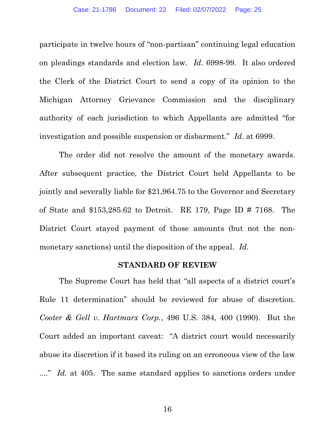participate in twelve hours of "non-partisan" continuing legal education on pleadings standards and election law. Id. 6998-99. It also ordered the Clerk of the District Court to send a copy of its opinion to the Michigan Attorney Grievance Commission and the disciplinary authority of each jurisdiction to which Appellants are admitted "for investigation and possible suspension or disbarment." Id. at 6999.

The order did not resolve the amount of the monetary awards. After subsequent practice, the District Court held Appellants to be jointly and severally liable for \$21,964.75 to the Governor and Secretary of State and \$153,285.62 to Detroit. RE 179, Page ID # 7168. The District Court stayed payment of those amounts (but not the nonmonetary sanctions) until the disposition of the appeal. Id.

#### STANDARD OF REVIEW

 The Supreme Court has held that "all aspects of a district court's Rule 11 determination" should be reviewed for abuse of discretion. Cooter & Gell v. Hartmarx Corp., 496 U.S. 384, 400 (1990). But the Court added an important caveat: "A district court would necessarily abuse its discretion if it based its ruling on an erroneous view of the law ...." Id. at 405. The same standard applies to sanctions orders under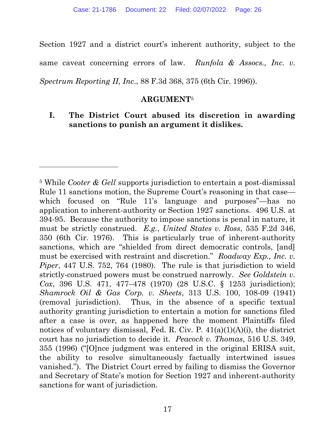Section 1927 and a district court's inherent authority, subject to the same caveat concerning errors of law. Runfola & Assocs., Inc. v. Spectrum Reporting II, Inc., 88 F.3d 368, 375 (6th Cir. 1996)).

#### ARGUMENT<sup>5</sup>

## I. The District Court abused its discretion in awarding sanctions to punish an argument it dislikes.

<sup>&</sup>lt;sup>5</sup> While Cooter & Gell supports jurisdiction to entertain a post-dismissal Rule 11 sanctions motion, the Supreme Court's reasoning in that case which focused on "Rule 11's language and purposes"—has no application to inherent-authority or Section 1927 sanctions. 496 U.S. at 394-95. Because the authority to impose sanctions is penal in nature, it must be strictly construed. E.g., United States v. Ross, 535 F.2d 346, 350 (6th Cir. 1976). This is particularly true of inherent-authority sanctions, which are "shielded from direct democratic controls, [and] must be exercised with restraint and discretion." Roadway Exp., Inc. v. Piper, 447 U.S. 752, 764 (1980). The rule is that jurisdiction to wield strictly-construed powers must be construed narrowly. See Goldstein v. Cox, 396 U.S. 471, 477–478 (1970) (28 U.S.C. § 1253 jurisdiction); Shamrock Oil & Gas Corp. v. Sheets, 313 U.S. 100, 108-09 (1941) (removal jurisdiction). Thus, in the absence of a specific textual authority granting jurisdiction to entertain a motion for sanctions filed after a case is over, as happened here the moment Plaintiffs filed notices of voluntary dismissal, Fed. R. Civ. P.  $41(a)(1)(A)(i)$ , the district court has no jurisdiction to decide it. Peacock v. Thomas, 516 U.S. 349, 355 (1996) ("[O]nce judgment was entered in the original ERISA suit, the ability to resolve simultaneously factually intertwined issues vanished."). The District Court erred by failing to dismiss the Governor and Secretary of State's motion for Section 1927 and inherent-authority sanctions for want of jurisdiction.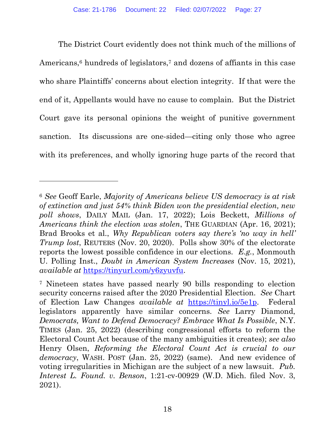The District Court evidently does not think much of the millions of Americans,<sup>6</sup> hundreds of legislators,<sup>7</sup> and dozens of affiants in this case who share Plaintiffs' concerns about election integrity. If that were the end of it, Appellants would have no cause to complain. But the District Court gave its personal opinions the weight of punitive government sanction. Its discussions are one-sided—citing only those who agree with its preferences, and wholly ignoring huge parts of the record that

<sup>6</sup> See Geoff Earle, Majority of Americans believe US democracy is at risk of extinction and just 54% think Biden won the presidential election, new poll shows, DAILY MAIL (Jan. 17, 2022); Lois Beckett, Millions of Americans think the election was stolen, THE GUARDIAN (Apr. 16, 2021); Brad Brooks et al., Why Republican voters say there's 'no way in hell' Trump lost, REUTERS (Nov. 20, 2020). Polls show 30% of the electorate reports the lowest possible confidence in our elections. E.g., Monmouth U. Polling Inst., Doubt in American System Increases (Nov. 15, 2021), available at https://tinyurl.com/y6zyuvfu.

<sup>7</sup> Nineteen states have passed nearly 90 bills responding to election security concerns raised after the 2020 Presidential Election. See Chart of Election Law Changes available at https://tinyl.io/5e1p. Federal legislators apparently have similar concerns. See Larry Diamond, Democrats, Want to Defend Democracy? Embrace What Is Possible, N.Y. TIMES (Jan. 25, 2022) (describing congressional efforts to reform the Electoral Count Act because of the many ambiguities it creates); see also Henry Olsen, Reforming the Electoral Count Act is crucial to our democracy, WASH. POST (Jan. 25, 2022) (same). And new evidence of voting irregularities in Michigan are the subject of a new lawsuit. Pub. Interest L. Found. v. Benson, 1:21-cv-00929 (W.D. Mich. filed Nov. 3, 2021).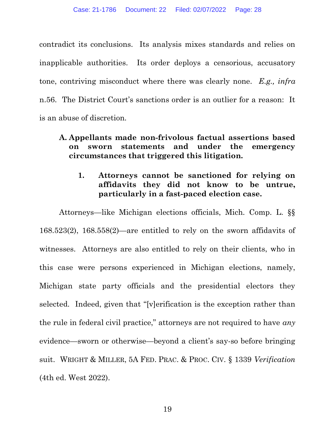contradict its conclusions. Its analysis mixes standards and relies on inapplicable authorities. Its order deploys a censorious, accusatory tone, contriving misconduct where there was clearly none. E.g., infra n.56. The District Court's sanctions order is an outlier for a reason: It is an abuse of discretion.

## A. Appellants made non-frivolous factual assertions based on sworn statements and under the emergency circumstances that triggered this litigation.

## 1. Attorneys cannot be sanctioned for relying on affidavits they did not know to be untrue, particularly in a fast-paced election case.

Attorneys—like Michigan elections officials, Mich. Comp. L. §§ 168.523(2), 168.558(2)—are entitled to rely on the sworn affidavits of witnesses. Attorneys are also entitled to rely on their clients, who in this case were persons experienced in Michigan elections, namely, Michigan state party officials and the presidential electors they selected. Indeed, given that "[v]erification is the exception rather than the rule in federal civil practice," attorneys are not required to have any evidence—sworn or otherwise—beyond a client's say-so before bringing suit. WRIGHT & MILLER, 5A FED. PRAC. & PROC. CIV. § 1339 Verification (4th ed. West 2022).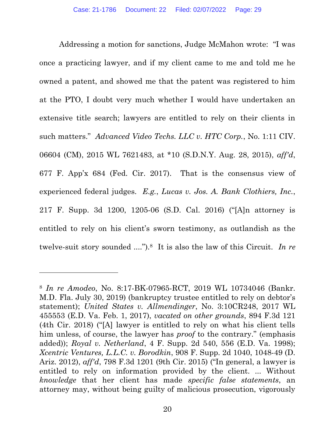Addressing a motion for sanctions, Judge McMahon wrote: "I was once a practicing lawyer, and if my client came to me and told me he owned a patent, and showed me that the patent was registered to him at the PTO, I doubt very much whether I would have undertaken an extensive title search; lawyers are entitled to rely on their clients in such matters." Advanced Video Techs. LLC v. HTC Corp., No. 1:11 CIV. 06604 (CM), 2015 WL 7621483, at \*10 (S.D.N.Y. Aug. 28, 2015), aff'd, 677 F. App'x 684 (Fed. Cir. 2017). That is the consensus view of experienced federal judges. E.g., Lucas v. Jos. A. Bank Clothiers, Inc., 217 F. Supp. 3d 1200, 1205-06 (S.D. Cal. 2016) ("[A]n attorney is entitled to rely on his client's sworn testimony, as outlandish as the twelve-suit story sounded ....").<sup>8</sup> It is also the law of this Circuit. In re

<sup>8</sup> In re Amodeo, No. 8:17-BK-07965-RCT, 2019 WL 10734046 (Bankr. M.D. Fla. July 30, 2019) (bankruptcy trustee entitled to rely on debtor's statement); United States v. Allmendinger, No. 3:10CR248, 2017 WL 455553 (E.D. Va. Feb. 1, 2017), vacated on other grounds, 894 F.3d 121 (4th Cir. 2018) ("[A] lawyer is entitled to rely on what his client tells him unless, of course, the lawyer has proof to the contrary." (emphasis added)); Royal v. Netherland, 4 F. Supp. 2d 540, 556 (E.D. Va. 1998); Xcentric Ventures, L.L.C. v. Borodkin, 908 F. Supp. 2d 1040, 1048-49 (D. Ariz. 2012), aff'd, 798 F.3d 1201 (9th Cir. 2015) ("In general, a lawyer is entitled to rely on information provided by the client. ... Without knowledge that her client has made specific false statements, an attorney may, without being guilty of malicious prosecution, vigorously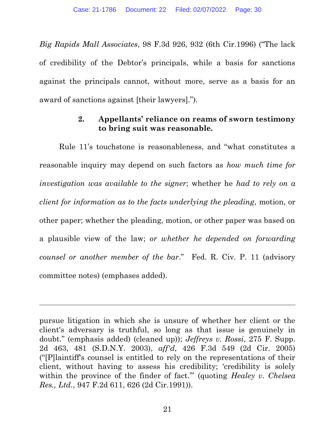Big Rapids Mall Associates, 98 F.3d 926, 932 (6th Cir.1996) ("The lack of credibility of the Debtor's principals, while a basis for sanctions against the principals cannot, without more, serve as a basis for an award of sanctions against [their lawyers].").

#### 2. Appellants' reliance on reams of sworn testimony to bring suit was reasonable.

Rule 11's touchstone is reasonableness, and "what constitutes a reasonable inquiry may depend on such factors as how much time for investigation was available to the signer; whether he had to rely on a client for information as to the facts underlying the pleading, motion, or other paper; whether the pleading, motion, or other paper was based on a plausible view of the law; or whether he depended on forwarding counsel or another member of the bar." Fed. R. Civ. P. 11 (advisory committee notes) (emphases added).

pursue litigation in which she is unsure of whether her client or the client's adversary is truthful, so long as that issue is genuinely in doubt." (emphasis added) (cleaned up)); *Jeffreys v. Rossi*, 275 F. Supp. 2d 463, 481 (S.D.N.Y. 2003), aff'd, 426 F.3d 549 (2d Cir. 2005) ("[P]laintiff's counsel is entitled to rely on the representations of their client, without having to assess his credibility; 'credibility is solely within the province of the finder of fact." (quoting Healey v. Chelsea Res., Ltd., 947 F.2d 611, 626 (2d Cir.1991)).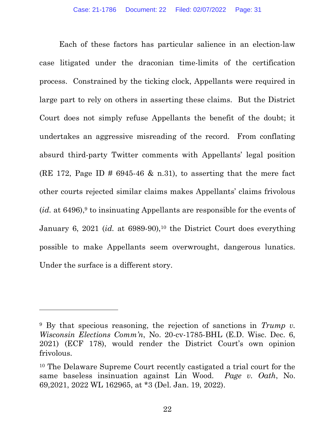Each of these factors has particular salience in an election-law case litigated under the draconian time-limits of the certification process. Constrained by the ticking clock, Appellants were required in large part to rely on others in asserting these claims. But the District Court does not simply refuse Appellants the benefit of the doubt; it undertakes an aggressive misreading of the record. From conflating absurd third-party Twitter comments with Appellants' legal position (RE 172, Page ID  $\#$  6945-46 & n.31), to asserting that the mere fact other courts rejected similar claims makes Appellants' claims frivolous (id. at  $6496$ ),<sup>9</sup> to insinuating Appellants are responsible for the events of January 6, 2021 (*id.* at 6989-90),<sup>10</sup> the District Court does everything possible to make Appellants seem overwrought, dangerous lunatics. Under the surface is a different story.

<sup>&</sup>lt;sup>9</sup> By that specious reasoning, the rejection of sanctions in Trump v. Wisconsin Elections Comm'n, No. 20-cv-1785-BHL (E.D. Wisc. Dec. 6, 2021) (ECF 178), would render the District Court's own opinion frivolous.

<sup>10</sup> The Delaware Supreme Court recently castigated a trial court for the same baseless insinuation against Lin Wood. Page v. Oath, No. 69,2021, 2022 WL 162965, at \*3 (Del. Jan. 19, 2022).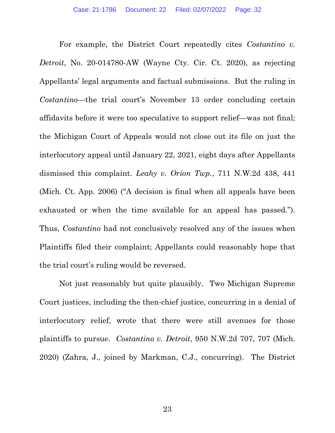For example, the District Court repeatedly cites Costantino v. Detroit, No. 20-014780-AW (Wayne Cty. Cir. Ct. 2020), as rejecting Appellants' legal arguments and factual submissions. But the ruling in Costantino—the trial court's November 13 order concluding certain affidavits before it were too speculative to support relief—was not final; the Michigan Court of Appeals would not close out its file on just the interlocutory appeal until January 22, 2021, eight days after Appellants dismissed this complaint. Leahy v. Orion Twp., 711 N.W.2d 438, 441 (Mich. Ct. App. 2006) ("A decision is final when all appeals have been exhausted or when the time available for an appeal has passed."). Thus, *Costantino* had not conclusively resolved any of the issues when Plaintiffs filed their complaint; Appellants could reasonably hope that the trial court's ruling would be reversed.

Not just reasonably but quite plausibly. Two Michigan Supreme Court justices, including the then-chief justice, concurring in a denial of interlocutory relief, wrote that there were still avenues for those plaintiffs to pursue. Costantino v. Detroit, 950 N.W.2d 707, 707 (Mich. 2020) (Zahra, J., joined by Markman, C.J., concurring). The District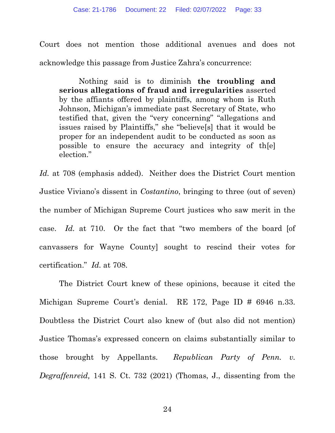Court does not mention those additional avenues and does not acknowledge this passage from Justice Zahra's concurrence:

Nothing said is to diminish the troubling and serious allegations of fraud and irregularities asserted by the affiants offered by plaintiffs, among whom is Ruth Johnson, Michigan's immediate past Secretary of State, who testified that, given the "very concerning" "allegations and issues raised by Plaintiffs," she "believe[s] that it would be proper for an independent audit to be conducted as soon as possible to ensure the accuracy and integrity of th[e] election."

Id. at 708 (emphasis added). Neither does the District Court mention Justice Viviano's dissent in Costantino, bringing to three (out of seven) the number of Michigan Supreme Court justices who saw merit in the case. Id. at 710. Or the fact that "two members of the board [of canvassers for Wayne County] sought to rescind their votes for certification." Id. at 708.

The District Court knew of these opinions, because it cited the Michigan Supreme Court's denial. RE 172, Page ID # 6946 n.33. Doubtless the District Court also knew of (but also did not mention) Justice Thomas's expressed concern on claims substantially similar to those brought by Appellants. Republican Party of Penn. v. Degraffenreid, 141 S. Ct. 732 (2021) (Thomas, J., dissenting from the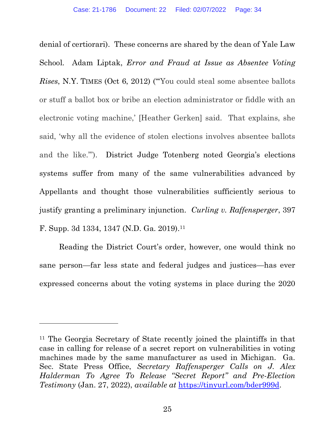denial of certiorari). These concerns are shared by the dean of Yale Law School. Adam Liptak, Error and Fraud at Issue as Absentee Voting Rises, N.Y. TIMES (Oct 6, 2012) ("'You could steal some absentee ballots or stuff a ballot box or bribe an election administrator or fiddle with an electronic voting machine,' [Heather Gerken] said. That explains, she said, 'why all the evidence of stolen elections involves absentee ballots and the like.'"). District Judge Totenberg noted Georgia's elections systems suffer from many of the same vulnerabilities advanced by Appellants and thought those vulnerabilities sufficiently serious to justify granting a preliminary injunction. Curling v. Raffensperger, 397 F. Supp. 3d 1334, 1347 (N.D. Ga. 2019).<sup>11</sup>

Reading the District Court's order, however, one would think no sane person—far less state and federal judges and justices—has ever expressed concerns about the voting systems in place during the 2020

<sup>11</sup> The Georgia Secretary of State recently joined the plaintiffs in that case in calling for release of a secret report on vulnerabilities in voting machines made by the same manufacturer as used in Michigan. Ga. Sec. State Press Office, Secretary Raffensperger Calls on J. Alex Halderman To Agree To Release "Secret Report" and Pre-Election Testimony (Jan. 27, 2022), available at https://tinyurl.com/bder999d.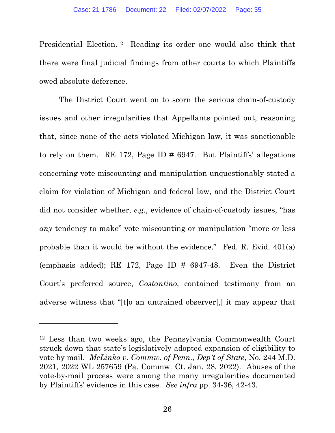Presidential Election.12 Reading its order one would also think that there were final judicial findings from other courts to which Plaintiffs owed absolute deference.

The District Court went on to scorn the serious chain-of-custody issues and other irregularities that Appellants pointed out, reasoning that, since none of the acts violated Michigan law, it was sanctionable to rely on them. RE 172, Page ID  $\#$  6947. But Plaintiffs' allegations concerning vote miscounting and manipulation unquestionably stated a claim for violation of Michigan and federal law, and the District Court did not consider whether, e.g., evidence of chain-of-custody issues, "has any tendency to make" vote miscounting or manipulation "more or less probable than it would be without the evidence." Fed. R. Evid. 401(a) (emphasis added); RE 172, Page ID # 6947-48. Even the District Court's preferred source, Costantino, contained testimony from an adverse witness that "[t]o an untrained observer[,] it may appear that

<sup>12</sup> Less than two weeks ago, the Pennsylvania Commonwealth Court struck down that state's legislatively adopted expansion of eligibility to vote by mail. McLinko v. Commw. of Penn., Dep't of State, No. 244 M.D. 2021, 2022 WL 257659 (Pa. Commw. Ct. Jan. 28, 2022). Abuses of the vote-by-mail process were among the many irregularities documented by Plaintiffs' evidence in this case. See infra pp. 34-36, 42-43.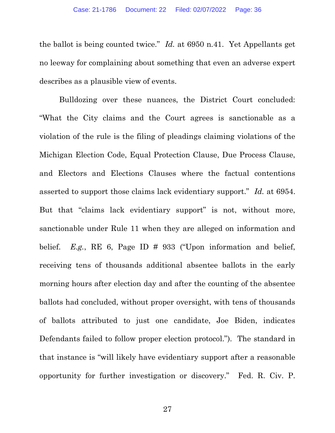the ballot is being counted twice." Id. at 6950 n.41. Yet Appellants get no leeway for complaining about something that even an adverse expert describes as a plausible view of events.

Bulldozing over these nuances, the District Court concluded: "What the City claims and the Court agrees is sanctionable as a violation of the rule is the filing of pleadings claiming violations of the Michigan Election Code, Equal Protection Clause, Due Process Clause, and Electors and Elections Clauses where the factual contentions asserted to support those claims lack evidentiary support." Id. at 6954. But that "claims lack evidentiary support" is not, without more, sanctionable under Rule 11 when they are alleged on information and belief. E.g., RE 6, Page ID  $\#$  933 ("Upon information and belief, receiving tens of thousands additional absentee ballots in the early morning hours after election day and after the counting of the absentee ballots had concluded, without proper oversight, with tens of thousands of ballots attributed to just one candidate, Joe Biden, indicates Defendants failed to follow proper election protocol."). The standard in that instance is "will likely have evidentiary support after a reasonable opportunity for further investigation or discovery." Fed. R. Civ. P.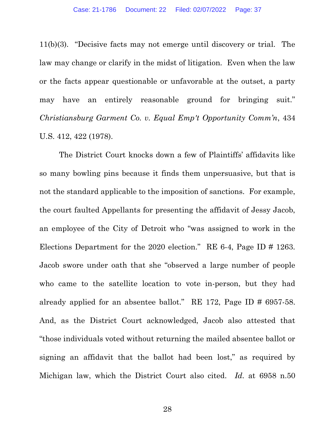11(b)(3). "Decisive facts may not emerge until discovery or trial. The law may change or clarify in the midst of litigation. Even when the law or the facts appear questionable or unfavorable at the outset, a party may have an entirely reasonable ground for bringing suit." Christiansburg Garment Co. v. Equal Emp't Opportunity Comm'n, 434 U.S. 412, 422 (1978).

The District Court knocks down a few of Plaintiffs' affidavits like so many bowling pins because it finds them unpersuasive, but that is not the standard applicable to the imposition of sanctions. For example, the court faulted Appellants for presenting the affidavit of Jessy Jacob, an employee of the City of Detroit who "was assigned to work in the Elections Department for the 2020 election." RE 6-4, Page ID # 1263. Jacob swore under oath that she "observed a large number of people who came to the satellite location to vote in-person, but they had already applied for an absentee ballot." RE 172, Page ID # 6957-58. And, as the District Court acknowledged, Jacob also attested that "those individuals voted without returning the mailed absentee ballot or signing an affidavit that the ballot had been lost," as required by Michigan law, which the District Court also cited. Id. at 6958 n.50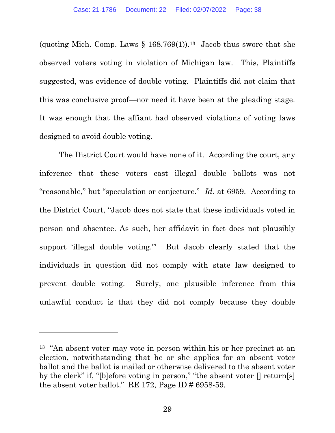(quoting Mich. Comp. Laws  $\S 168.769(1)$ ).<sup>13</sup> Jacob thus swore that she observed voters voting in violation of Michigan law. This, Plaintiffs suggested, was evidence of double voting. Plaintiffs did not claim that this was conclusive proof—nor need it have been at the pleading stage. It was enough that the affiant had observed violations of voting laws designed to avoid double voting.

The District Court would have none of it. According the court, any inference that these voters cast illegal double ballots was not "reasonable," but "speculation or conjecture." *Id.* at 6959. According to the District Court, "Jacob does not state that these individuals voted in person and absentee. As such, her affidavit in fact does not plausibly support 'illegal double voting.'" But Jacob clearly stated that the individuals in question did not comply with state law designed to prevent double voting. Surely, one plausible inference from this unlawful conduct is that they did not comply because they double

<sup>13</sup> "An absent voter may vote in person within his or her precinct at an election, notwithstanding that he or she applies for an absent voter ballot and the ballot is mailed or otherwise delivered to the absent voter by the clerk" if, "[b]efore voting in person," "the absent voter [] return[s] the absent voter ballot." RE 172, Page ID  $\#$  6958-59.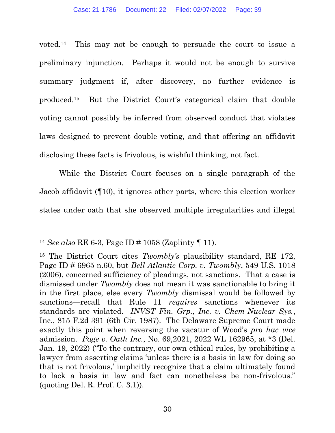voted.14 This may not be enough to persuade the court to issue a preliminary injunction. Perhaps it would not be enough to survive summary judgment if, after discovery, no further evidence is produced.15 But the District Court's categorical claim that double voting cannot possibly be inferred from observed conduct that violates laws designed to prevent double voting, and that offering an affidavit disclosing these facts is frivolous, is wishful thinking, not fact.

While the District Court focuses on a single paragraph of the Jacob affidavit (¶10), it ignores other parts, where this election worker states under oath that she observed multiple irregularities and illegal

<sup>&</sup>lt;sup>14</sup> See also RE 6-3, Page ID # 1058 (Zaplinty  $\P$  11).

<sup>&</sup>lt;sup>15</sup> The District Court cites *Twombly's* plausibility standard, RE 172, Page ID # 6965 n.60, but Bell Atlantic Corp. v. Twombly, 549 U.S. 1018 (2006), concerned sufficiency of pleadings, not sanctions. That a case is dismissed under Twombly does not mean it was sanctionable to bring it in the first place, else every Twombly dismissal would be followed by sanctions—recall that Rule 11 *requires* sanctions whenever its standards are violated. INVST Fin. Grp., Inc. v. Chem-Nuclear Sys., Inc., 815 F.2d 391 (6th Cir. 1987). The Delaware Supreme Court made exactly this point when reversing the vacatur of Wood's pro hac vice admission. Page v. Oath Inc., No. 69,2021, 2022 WL 162965, at \*3 (Del. Jan. 19, 2022) ("To the contrary, our own ethical rules, by prohibiting a lawyer from asserting claims 'unless there is a basis in law for doing so that is not frivolous,' implicitly recognize that a claim ultimately found to lack a basis in law and fact can nonetheless be non-frivolous." (quoting Del. R. Prof. C. 3.1)).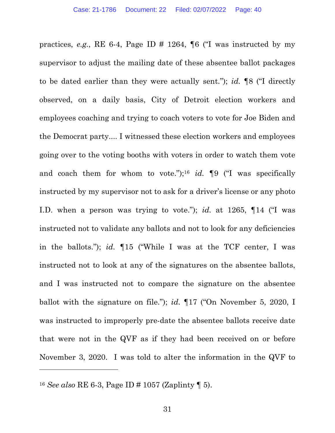practices, e.g., RE 6-4, Page ID  $\#$  1264, ¶6 ("I was instructed by my supervisor to adjust the mailing date of these absentee ballot packages to be dated earlier than they were actually sent."); id. ¶8 ("I directly observed, on a daily basis, City of Detroit election workers and employees coaching and trying to coach voters to vote for Joe Biden and the Democrat party.... I witnessed these election workers and employees going over to the voting booths with voters in order to watch them vote and coach them for whom to vote.");<sup>16</sup> id.  $\P9$  ("I was specifically instructed by my supervisor not to ask for a driver's license or any photo I.D. when a person was trying to vote."); id. at 1265,  $\P$ 14 ("I was instructed not to validate any ballots and not to look for any deficiencies in the ballots."); id. ¶15 ("While I was at the TCF center, I was instructed not to look at any of the signatures on the absentee ballots, and I was instructed not to compare the signature on the absentee ballot with the signature on file."); *id.*  $\P$ 17 ("On November 5, 2020, I was instructed to improperly pre-date the absentee ballots receive date that were not in the QVF as if they had been received on or before November 3, 2020. I was told to alter the information in the QVF to

<sup>&</sup>lt;sup>16</sup> See also RE 6-3, Page ID # 1057 (Zaplinty  $\P$  5).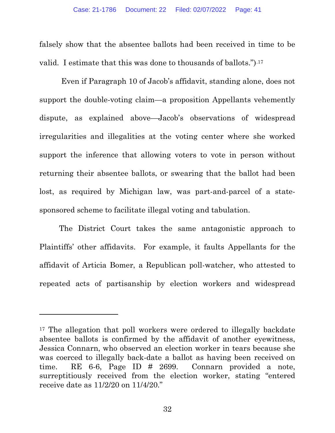falsely show that the absentee ballots had been received in time to be valid. I estimate that this was done to thousands of ballots.").17

 Even if Paragraph 10 of Jacob's affidavit, standing alone, does not support the double-voting claim—a proposition Appellants vehemently dispute, as explained above—Jacob's observations of widespread irregularities and illegalities at the voting center where she worked support the inference that allowing voters to vote in person without returning their absentee ballots, or swearing that the ballot had been lost, as required by Michigan law, was part-and-parcel of a statesponsored scheme to facilitate illegal voting and tabulation.

The District Court takes the same antagonistic approach to Plaintiffs' other affidavits. For example, it faults Appellants for the affidavit of Articia Bomer, a Republican poll-watcher, who attested to repeated acts of partisanship by election workers and widespread

<sup>&</sup>lt;sup>17</sup> The allegation that poll workers were ordered to illegally backdate absentee ballots is confirmed by the affidavit of another eyewitness, Jessica Connarn, who observed an election worker in tears because she was coerced to illegally back-date a ballot as having been received on time. RE 6-6, Page ID # 2699. Connarn provided a note, surreptitiously received from the election worker, stating "entered receive date as 11/2/20 on 11/4/20."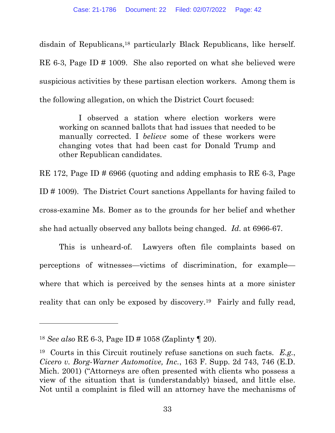disdain of Republicans,18 particularly Black Republicans, like herself. RE 6-3, Page ID # 1009. She also reported on what she believed were suspicious activities by these partisan election workers. Among them is the following allegation, on which the District Court focused:

I observed a station where election workers were working on scanned ballots that had issues that needed to be manually corrected. I *believe* some of these workers were changing votes that had been cast for Donald Trump and other Republican candidates.

RE 172, Page ID # 6966 (quoting and adding emphasis to RE 6-3, Page ID # 1009). The District Court sanctions Appellants for having failed to cross-examine Ms. Bomer as to the grounds for her belief and whether she had actually observed any ballots being changed. Id. at 6966-67.

 This is unheard-of. Lawyers often file complaints based on perceptions of witnesses—victims of discrimination, for example where that which is perceived by the senses hints at a more sinister reality that can only be exposed by discovery.<sup>19</sup> Fairly and fully read,

<sup>&</sup>lt;sup>18</sup> See also RE 6-3, Page ID # 1058 (Zaplinty  $\P$  20).

<sup>&</sup>lt;sup>19</sup> Courts in this Circuit routinely refuse sanctions on such facts.  $E.g.,$ Cicero v. Borg-Warner Automotive, Inc., 163 F. Supp. 2d 743, 746 (E.D. Mich. 2001) ("Attorneys are often presented with clients who possess a view of the situation that is (understandably) biased, and little else. Not until a complaint is filed will an attorney have the mechanisms of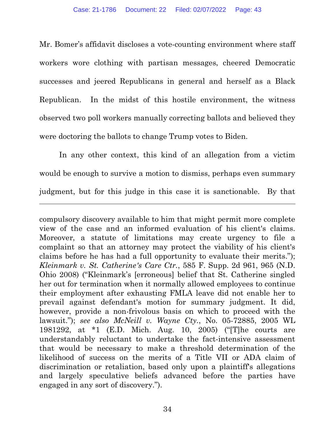Mr. Bomer's affidavit discloses a vote-counting environment where staff workers wore clothing with partisan messages, cheered Democratic successes and jeered Republicans in general and herself as a Black Republican. In the midst of this hostile environment, the witness observed two poll workers manually correcting ballots and believed they were doctoring the ballots to change Trump votes to Biden.

In any other context, this kind of an allegation from a victim would be enough to survive a motion to dismiss, perhaps even summary judgment, but for this judge in this case it is sanctionable. By that

compulsory discovery available to him that might permit more complete view of the case and an informed evaluation of his client's claims. Moreover, a statute of limitations may create urgency to file a complaint so that an attorney may protect the viability of his client's claims before he has had a full opportunity to evaluate their merits."); Kleinmark v. St. Catherine's Care Ctr., 585 F. Supp. 2d 961, 965 (N.D. Ohio 2008) ("Kleinmark's [erroneous] belief that St. Catherine singled her out for termination when it normally allowed employees to continue their employment after exhausting FMLA leave did not enable her to prevail against defendant's motion for summary judgment. It did, however, provide a non-frivolous basis on which to proceed with the lawsuit."); see also McNeill v. Wayne Cty., No. 05-72885, 2005 WL 1981292, at \*1 (E.D. Mich. Aug. 10, 2005) ("[T]he courts are understandably reluctant to undertake the fact-intensive assessment that would be necessary to make a threshold determination of the likelihood of success on the merits of a Title VII or ADA claim of discrimination or retaliation, based only upon a plaintiff's allegations and largely speculative beliefs advanced before the parties have engaged in any sort of discovery.").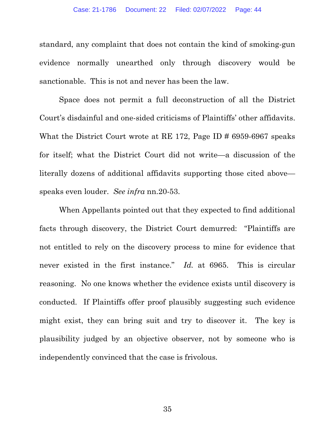standard, any complaint that does not contain the kind of smoking-gun evidence normally unearthed only through discovery would be sanctionable. This is not and never has been the law.

Space does not permit a full deconstruction of all the District Court's disdainful and one-sided criticisms of Plaintiffs' other affidavits. What the District Court wrote at RE 172, Page ID # 6959-6967 speaks for itself; what the District Court did not write—a discussion of the literally dozens of additional affidavits supporting those cited above speaks even louder. See infra nn.20-53.

When Appellants pointed out that they expected to find additional facts through discovery, the District Court demurred: "Plaintiffs are not entitled to rely on the discovery process to mine for evidence that never existed in the first instance." Id. at 6965. This is circular reasoning. No one knows whether the evidence exists until discovery is conducted. If Plaintiffs offer proof plausibly suggesting such evidence might exist, they can bring suit and try to discover it. The key is plausibility judged by an objective observer, not by someone who is independently convinced that the case is frivolous.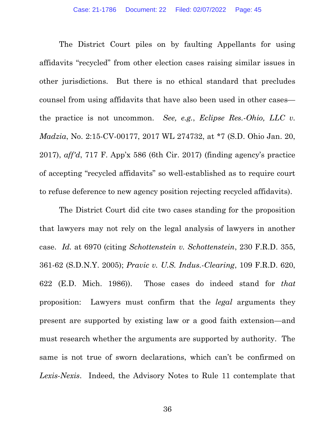The District Court piles on by faulting Appellants for using affidavits "recycled" from other election cases raising similar issues in other jurisdictions. But there is no ethical standard that precludes counsel from using affidavits that have also been used in other cases the practice is not uncommon. See, e.g., Eclipse Res.-Ohio, LLC v. Madzia, No. 2:15-CV-00177, 2017 WL 274732, at \*7 (S.D. Ohio Jan. 20, 2017), aff'd, 717 F. App'x 586 (6th Cir. 2017) (finding agency's practice of accepting "recycled affidavits" so well-established as to require court to refuse deference to new agency position rejecting recycled affidavits).

The District Court did cite two cases standing for the proposition that lawyers may not rely on the legal analysis of lawyers in another case. Id. at 6970 (citing Schottenstein v. Schottenstein, 230 F.R.D. 355, 361-62 (S.D.N.Y. 2005); Pravic v. U.S. Indus.-Clearing, 109 F.R.D. 620, 622 (E.D. Mich. 1986)). Those cases do indeed stand for that proposition: Lawyers must confirm that the legal arguments they present are supported by existing law or a good faith extension—and must research whether the arguments are supported by authority. The same is not true of sworn declarations, which can't be confirmed on Lexis-Nexis. Indeed, the Advisory Notes to Rule 11 contemplate that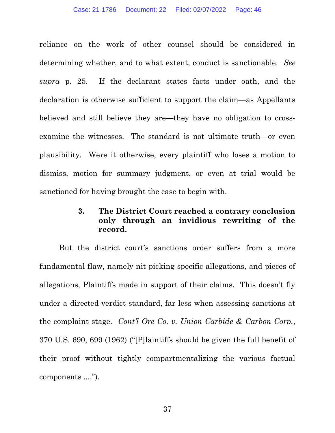reliance on the work of other counsel should be considered in determining whether, and to what extent, conduct is sanctionable. See supra p. 25. If the declarant states facts under oath, and the declaration is otherwise sufficient to support the claim—as Appellants believed and still believe they are—they have no obligation to crossexamine the witnesses. The standard is not ultimate truth—or even plausibility. Were it otherwise, every plaintiff who loses a motion to dismiss, motion for summary judgment, or even at trial would be sanctioned for having brought the case to begin with.

## 3. The District Court reached a contrary conclusion only through an invidious rewriting of the record.

But the district court's sanctions order suffers from a more fundamental flaw, namely nit-picking specific allegations, and pieces of allegations, Plaintiffs made in support of their claims. This doesn't fly under a directed-verdict standard, far less when assessing sanctions at the complaint stage. Cont'l Ore Co. v. Union Carbide & Carbon Corp., 370 U.S. 690, 699 (1962) ("[P]laintiffs should be given the full benefit of their proof without tightly compartmentalizing the various factual components ....").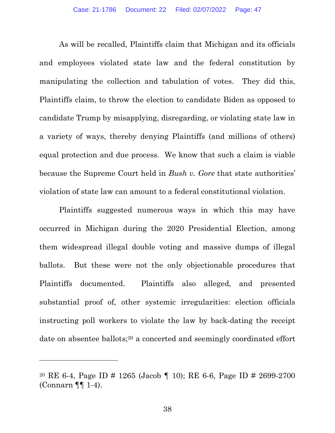As will be recalled, Plaintiffs claim that Michigan and its officials and employees violated state law and the federal constitution by manipulating the collection and tabulation of votes. They did this, Plaintiffs claim, to throw the election to candidate Biden as opposed to candidate Trump by misapplying, disregarding, or violating state law in a variety of ways, thereby denying Plaintiffs (and millions of others) equal protection and due process. We know that such a claim is viable because the Supreme Court held in *Bush v. Gore* that state authorities' violation of state law can amount to a federal constitutional violation.

Plaintiffs suggested numerous ways in which this may have occurred in Michigan during the 2020 Presidential Election, among them widespread illegal double voting and massive dumps of illegal ballots. But these were not the only objectionable procedures that Plaintiffs documented. Plaintiffs also alleged, and presented substantial proof of, other systemic irregularities: election officials instructing poll workers to violate the law by back-dating the receipt date on absentee ballots;<sup>20</sup> a concerted and seemingly coordinated effort

<sup>20</sup> RE 6-4, Page ID # 1265 (Jacob ¶ 10); RE 6-6, Page ID # 2699-2700 (Connarn ¶¶ 1-4).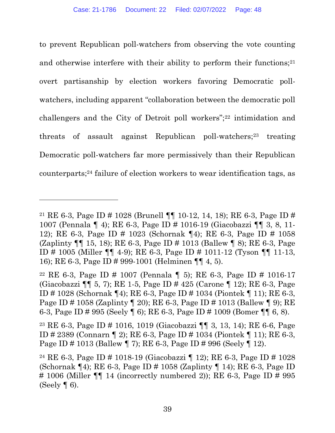to prevent Republican poll-watchers from observing the vote counting and otherwise interfere with their ability to perform their functions;<sup>21</sup> overt partisanship by election workers favoring Democratic pollwatchers, including apparent "collaboration between the democratic poll challengers and the City of Detroit poll workers";22 intimidation and threats of assault against Republican poll-watchers;<sup>23</sup> treating Democratic poll-watchers far more permissively than their Republican counterparts;24 failure of election workers to wear identification tags, as

<sup>&</sup>lt;sup>21</sup> RE 6-3, Page ID # 1028 (Brunell  $\P\P$  10-12, 14, 18); RE 6-3, Page ID # 1007 (Pennala ¶ 4); RE 6-3, Page ID # 1016-19 (Giacobazzi ¶¶ 3, 8, 11- 12); RE 6-3, Page ID # 1023 (Schornak ¶4); RE 6-3, Page ID # 1058 (Zaplinty ¶¶ 15, 18); RE 6-3, Page ID # 1013 (Ballew ¶ 8); RE 6-3, Page ID # 1005 (Miller ¶¶ 4-9); RE 6-3, Page ID # 1011-12 (Tyson ¶¶ 11-13, 16); RE 6-3, Page ID # 999-1001 (Helminen ¶¶ 4, 5).

<sup>22</sup> RE 6-3, Page ID # 1007 (Pennala ¶ 5); RE 6-3, Page ID # 1016-17 (Giacobazzi ¶¶ 5, 7); RE 1-5, Page ID # 425 (Carone ¶ 12); RE 6-3, Page ID # 1028 (Schornak ¶4); RE 6-3, Page ID # 1034 (Piontek ¶ 11); RE 6-3, Page ID # 1058 (Zaplinty ¶ 20); RE 6-3, Page ID # 1013 (Ballew ¶ 9); RE 6-3, Page ID # 995 (Seely ¶ 6); RE 6-3, Page ID # 1009 (Bomer ¶¶ 6, 8).

<sup>23</sup> RE 6-3, Page ID # 1016, 1019 (Giacobazzi ¶¶ 3, 13, 14); RE 6-6, Page ID # 2389 (Connarn ¶ 2); RE 6-3, Page ID # 1034 (Piontek ¶ 11); RE 6-3, Page ID # 1013 (Ballew ¶ 7); RE 6-3, Page ID # 996 (Seely ¶ 12).

<sup>24</sup> RE 6-3, Page ID # 1018-19 (Giacobazzi ¶ 12); RE 6-3, Page ID # 1028 (Schornak ¶4); RE 6-3, Page ID # 1058 (Zaplinty ¶ 14); RE 6-3, Page ID # 1006 (Miller  $\P\P$  14 (incorrectly numbered 2)); RE 6-3, Page ID # 995 (Seely  $\P$  6).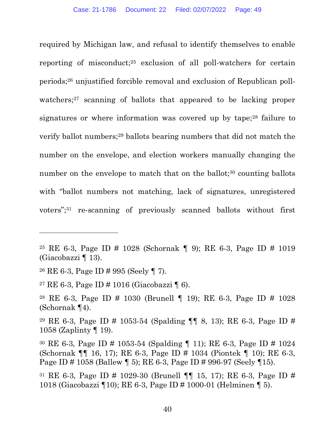required by Michigan law, and refusal to identify themselves to enable reporting of misconduct;25 exclusion of all poll-watchers for certain periods;26 unjustified forcible removal and exclusion of Republican pollwatchers;<sup>27</sup> scanning of ballots that appeared to be lacking proper signatures or where information was covered up by tape;28 failure to verify ballot numbers;29 ballots bearing numbers that did not match the number on the envelope, and election workers manually changing the number on the envelope to match that on the ballot; $30$  counting ballots with "ballot numbers not matching, lack of signatures, unregistered voters";31 re-scanning of previously scanned ballots without first

<sup>25</sup> RE 6-3, Page ID # 1028 (Schornak ¶ 9); RE 6-3, Page ID # 1019 (Giacobazzi ¶ 13).

<sup>26</sup> RE 6-3, Page ID # 995 (Seely ¶ 7).

<sup>27</sup> RE 6-3, Page ID # 1016 (Giacobazzi ¶ 6).

<sup>28</sup> RE 6-3, Page ID # 1030 (Brunell ¶ 19); RE 6-3, Page ID # 1028 (Schornak ¶4).

<sup>&</sup>lt;sup>29</sup> RE 6-3, Page ID # 1053-54 (Spalding  $\P\P$  8, 13); RE 6-3, Page ID # 1058 (Zaplinty ¶ 19).

<sup>30</sup> RE 6-3, Page ID # 1053-54 (Spalding ¶ 11); RE 6-3, Page ID # 1024 (Schornak ¶¶ 16, 17); RE 6-3, Page ID # 1034 (Piontek ¶ 10); RE 6-3, Page ID # 1058 (Ballew ¶ 5); RE 6-3, Page ID # 996-97 (Seely ¶15).

<sup>&</sup>lt;sup>31</sup> RE 6-3, Page ID # 1029-30 (Brunell  $\P\P$  15, 17); RE 6-3, Page ID # 1018 (Giacobazzi ¶10); RE 6-3, Page ID # 1000-01 (Helminen ¶ 5).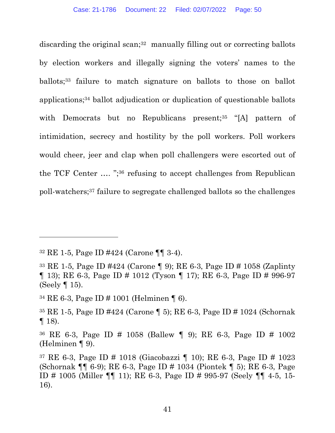discarding the original scan;<sup>32</sup> manually filling out or correcting ballots by election workers and illegally signing the voters' names to the ballots;<sup>33</sup> failure to match signature on ballots to those on ballot applications;34 ballot adjudication or duplication of questionable ballots with Democrats but no Republicans present;<sup>35</sup> "[A] pattern of intimidation, secrecy and hostility by the poll workers. Poll workers would cheer, jeer and clap when poll challengers were escorted out of the TCF Center …. ";36 refusing to accept challenges from Republican poll-watchers;37 failure to segregate challenged ballots so the challenges

<sup>32</sup> RE 1-5, Page ID #424 (Carone ¶¶ 3-4).

<sup>33</sup> RE 1-5, Page ID #424 (Carone ¶ 9); RE 6-3, Page ID # 1058 (Zaplinty ¶ 13); RE 6-3, Page ID # 1012 (Tyson ¶ 17); RE 6-3, Page ID # 996-97 (Seely ¶ 15).

<sup>34</sup> RE 6-3, Page ID # 1001 (Helminen ¶ 6).

<sup>35</sup> RE 1-5, Page ID #424 (Carone ¶ 5); RE 6-3, Page ID # 1024 (Schornak  $\P$  18).

<sup>36</sup> RE 6-3, Page ID # 1058 (Ballew ¶ 9); RE 6-3, Page ID # 1002 (Helminen ¶ 9).

<sup>37</sup> RE 6-3, Page ID # 1018 (Giacobazzi ¶ 10); RE 6-3, Page ID # 1023 (Schornak ¶¶ 6-9); RE 6-3, Page ID # 1034 (Piontek ¶ 5); RE 6-3, Page ID # 1005 (Miller ¶¶ 11); RE 6-3, Page ID # 995-97 (Seely ¶¶ 4-5, 15- 16).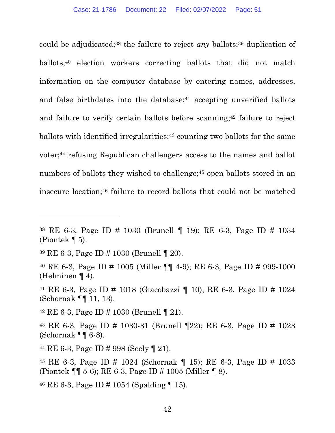could be adjudicated;<sup>38</sup> the failure to reject *any* ballots;<sup>39</sup> duplication of ballots;40 election workers correcting ballots that did not match information on the computer database by entering names, addresses, and false birthdates into the database; $41$  accepting unverified ballots and failure to verify certain ballots before scanning;<sup>42</sup> failure to reject ballots with identified irregularities;<sup>43</sup> counting two ballots for the same voter;44 refusing Republican challengers access to the names and ballot numbers of ballots they wished to challenge;<sup>45</sup> open ballots stored in an insecure location;46 failure to record ballots that could not be matched

 $42$  RE 6-3, Page ID # 1030 (Brunell | 21).

<sup>38</sup> RE 6-3, Page ID # 1030 (Brunell ¶ 19); RE 6-3, Page ID # 1034 (Piontek  $\P$  5).

<sup>39</sup> RE 6-3, Page ID # 1030 (Brunell ¶ 20).

<sup>40</sup> RE 6-3, Page ID # 1005 (Miller ¶¶ 4-9); RE 6-3, Page ID # 999-1000 (Helminen ¶ 4).

<sup>41</sup> RE 6-3, Page ID # 1018 (Giacobazzi ¶ 10); RE 6-3, Page ID # 1024 (Schornak ¶¶ 11, 13).

<sup>43</sup> RE 6-3, Page ID # 1030-31 (Brunell ¶22); RE 6-3, Page ID # 1023 (Schornak ¶¶ 6-8).

<sup>44</sup> RE 6-3, Page ID # 998 (Seely ¶ 21).

<sup>45</sup> RE 6-3, Page ID # 1024 (Schornak ¶ 15); RE 6-3, Page ID # 1033 (Piontek ¶¶ 5-6); RE 6-3, Page ID # 1005 (Miller ¶ 8).

 $46$  RE 6-3, Page ID # 1054 (Spalding 15).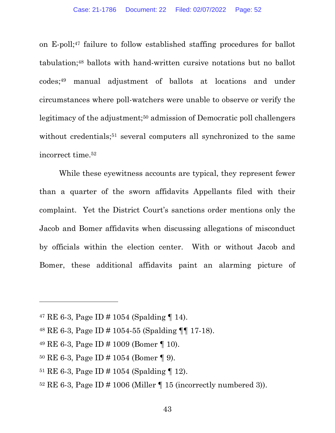on E-poll;47 failure to follow established staffing procedures for ballot tabulation;48 ballots with hand-written cursive notations but no ballot codes;49 manual adjustment of ballots at locations and under circumstances where poll-watchers were unable to observe or verify the legitimacy of the adjustment;<sup>50</sup> admission of Democratic poll challengers without credentials;<sup>51</sup> several computers all synchronized to the same incorrect time.<sup>52</sup>

While these eyewitness accounts are typical, they represent fewer than a quarter of the sworn affidavits Appellants filed with their complaint. Yet the District Court's sanctions order mentions only the Jacob and Bomer affidavits when discussing allegations of misconduct by officials within the election center. With or without Jacob and Bomer, these additional affidavits paint an alarming picture of

 $52$  RE 6-3, Page ID # 1006 (Miller  $\P$  15 (incorrectly numbered 3)).

<sup>&</sup>lt;sup>47</sup> RE 6-3, Page ID # 1054 (Spalding  $\P$  14).

<sup>48</sup> RE 6-3, Page ID # 1054-55 (Spalding ¶¶ 17-18).

<sup>49</sup> RE 6-3, Page ID # 1009 (Bomer ¶ 10).

<sup>50</sup> RE 6-3, Page ID # 1054 (Bomer ¶ 9).

 $51$  RE 6-3, Page ID # 1054 (Spalding | 12).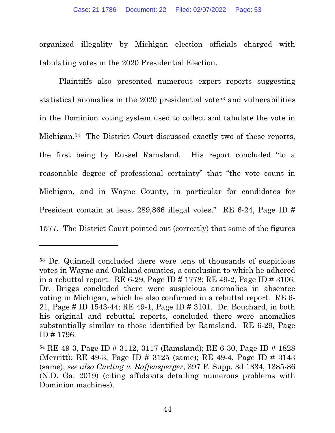organized illegality by Michigan election officials charged with tabulating votes in the 2020 Presidential Election.

Plaintiffs also presented numerous expert reports suggesting statistical anomalies in the 2020 presidential vote<sup>53</sup> and vulnerabilities in the Dominion voting system used to collect and tabulate the vote in Michigan.54 The District Court discussed exactly two of these reports, the first being by Russel Ramsland. His report concluded "to a reasonable degree of professional certainty" that "the vote count in Michigan, and in Wayne County, in particular for candidates for President contain at least 289,866 illegal votes." RE 6-24, Page ID # 1577. The District Court pointed out (correctly) that some of the figures

<sup>53</sup> Dr. Quinnell concluded there were tens of thousands of suspicious votes in Wayne and Oakland counties, a conclusion to which he adhered in a rebuttal report. RE 6-29, Page ID # 1778; RE 49-2, Page ID # 3106. Dr. Briggs concluded there were suspicious anomalies in absentee voting in Michigan, which he also confirmed in a rebuttal report. RE 6- 21, Page # ID 1543-44; RE 49-1, Page ID # 3101. Dr. Bouchard, in both his original and rebuttal reports, concluded there were anomalies substantially similar to those identified by Ramsland. RE 6-29, Page ID # 1796.

<sup>54</sup> RE 49-3, Page ID # 3112, 3117 (Ramsland); RE 6-30, Page ID # 1828 (Merritt); RE 49-3, Page ID # 3125 (same); RE 49-4, Page ID # 3143 (same); see also Curling v. Raffensperger, 397 F. Supp. 3d 1334, 1385-86 (N.D. Ga. 2019) (citing affidavits detailing numerous problems with Dominion machines).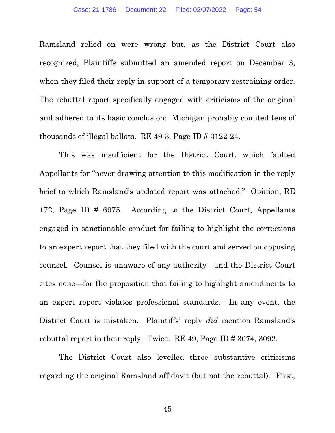Ramsland relied on were wrong but, as the District Court also recognized, Plaintiffs submitted an amended report on December 3, when they filed their reply in support of a temporary restraining order. The rebuttal report specifically engaged with criticisms of the original and adhered to its basic conclusion: Michigan probably counted tens of thousands of illegal ballots. RE 49-3, Page ID # 3122-24.

This was insufficient for the District Court, which faulted Appellants for "never drawing attention to this modification in the reply brief to which Ramsland's updated report was attached." Opinion, RE 172, Page ID # 6975. According to the District Court, Appellants engaged in sanctionable conduct for failing to highlight the corrections to an expert report that they filed with the court and served on opposing counsel. Counsel is unaware of any authority—and the District Court cites none—for the proposition that failing to highlight amendments to an expert report violates professional standards. In any event, the District Court is mistaken. Plaintiffs' reply did mention Ramsland's rebuttal report in their reply. Twice. RE 49, Page ID # 3074, 3092.

The District Court also levelled three substantive criticisms regarding the original Ramsland affidavit (but not the rebuttal). First,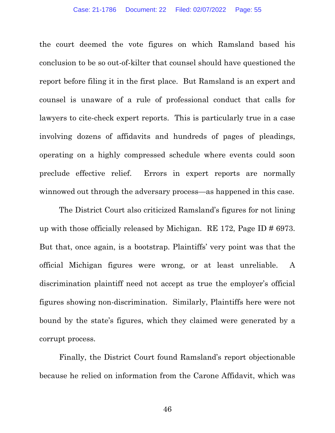the court deemed the vote figures on which Ramsland based his conclusion to be so out-of-kilter that counsel should have questioned the report before filing it in the first place. But Ramsland is an expert and counsel is unaware of a rule of professional conduct that calls for lawyers to cite-check expert reports. This is particularly true in a case involving dozens of affidavits and hundreds of pages of pleadings, operating on a highly compressed schedule where events could soon preclude effective relief. Errors in expert reports are normally winnowed out through the adversary process—as happened in this case.

The District Court also criticized Ramsland's figures for not lining up with those officially released by Michigan. RE 172, Page ID # 6973. But that, once again, is a bootstrap. Plaintiffs' very point was that the official Michigan figures were wrong, or at least unreliable. A discrimination plaintiff need not accept as true the employer's official figures showing non-discrimination. Similarly, Plaintiffs here were not bound by the state's figures, which they claimed were generated by a corrupt process.

Finally, the District Court found Ramsland's report objectionable because he relied on information from the Carone Affidavit, which was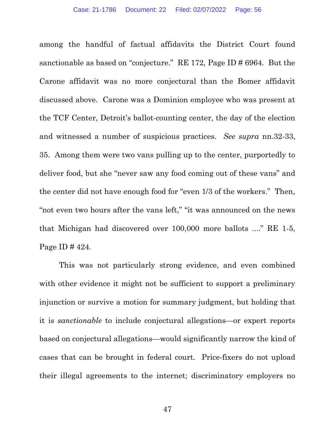among the handful of factual affidavits the District Court found sanctionable as based on "conjecture." RE 172, Page ID # 6964. But the Carone affidavit was no more conjectural than the Bomer affidavit discussed above. Carone was a Dominion employee who was present at the TCF Center, Detroit's ballot-counting center, the day of the election and witnessed a number of suspicious practices. See supra nn.32-33, 35. Among them were two vans pulling up to the center, purportedly to deliver food, but she "never saw any food coming out of these vans" and the center did not have enough food for "even 1/3 of the workers." Then, "not even two hours after the vans left," "it was announced on the news that Michigan had discovered over 100,000 more ballots ...." RE 1-5, Page ID # 424.

This was not particularly strong evidence, and even combined with other evidence it might not be sufficient to support a preliminary injunction or survive a motion for summary judgment, but holding that it is sanctionable to include conjectural allegations—or expert reports based on conjectural allegations—would significantly narrow the kind of cases that can be brought in federal court. Price-fixers do not upload their illegal agreements to the internet; discriminatory employers no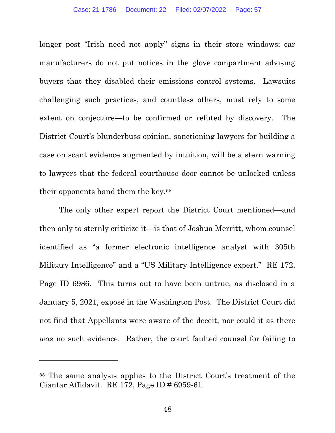longer post "Irish need not apply" signs in their store windows; car manufacturers do not put notices in the glove compartment advising buyers that they disabled their emissions control systems. Lawsuits challenging such practices, and countless others, must rely to some extent on conjecture—to be confirmed or refuted by discovery. The District Court's blunderbuss opinion, sanctioning lawyers for building a case on scant evidence augmented by intuition, will be a stern warning to lawyers that the federal courthouse door cannot be unlocked unless their opponents hand them the key.<sup>55</sup>

The only other expert report the District Court mentioned—and then only to sternly criticize it—is that of Joshua Merritt, whom counsel identified as "a former electronic intelligence analyst with 305th Military Intelligence" and a "US Military Intelligence expert." RE 172, Page ID 6986. This turns out to have been untrue, as disclosed in a January 5, 2021, exposé in the Washington Post. The District Court did not find that Appellants were aware of the deceit, nor could it as there was no such evidence. Rather, the court faulted counsel for failing to

<sup>55</sup> The same analysis applies to the District Court's treatment of the Ciantar Affidavit. RE 172, Page ID # 6959-61.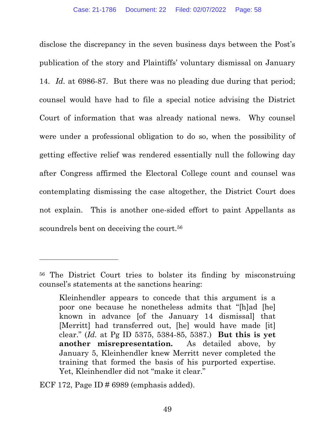disclose the discrepancy in the seven business days between the Post's publication of the story and Plaintiffs' voluntary dismissal on January 14. Id. at 6986-87. But there was no pleading due during that period; counsel would have had to file a special notice advising the District Court of information that was already national news. Why counsel were under a professional obligation to do so, when the possibility of getting effective relief was rendered essentially null the following day after Congress affirmed the Electoral College count and counsel was contemplating dismissing the case altogether, the District Court does not explain. This is another one-sided effort to paint Appellants as scoundrels bent on deceiving the court.<sup>56</sup>

ECF 172, Page ID  $\#$  6989 (emphasis added).

<sup>56</sup> The District Court tries to bolster its finding by misconstruing counsel's statements at the sanctions hearing:

Kleinhendler appears to concede that this argument is a poor one because he nonetheless admits that "[h]ad [he] known in advance [of the January 14 dismissal] that [Merritt] had transferred out, [he] would have made [it] clear." (Id. at Pg ID 5375, 5384-85, 5387.) But this is yet another misrepresentation. As detailed above, by January 5, Kleinhendler knew Merritt never completed the training that formed the basis of his purported expertise. Yet, Kleinhendler did not "make it clear."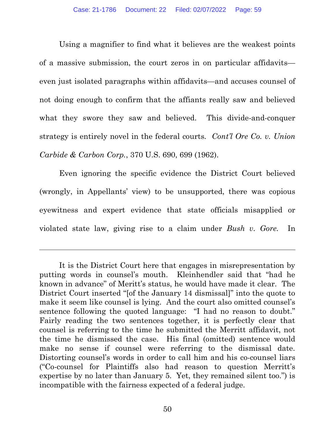Using a magnifier to find what it believes are the weakest points of a massive submission, the court zeros in on particular affidavits even just isolated paragraphs within affidavits—and accuses counsel of not doing enough to confirm that the affiants really saw and believed what they swore they saw and believed. This divide-and-conquer strategy is entirely novel in the federal courts. Cont'l Ore Co. v. Union Carbide & Carbon Corp., 370 U.S. 690, 699 (1962).

Even ignoring the specific evidence the District Court believed (wrongly, in Appellants' view) to be unsupported, there was copious eyewitness and expert evidence that state officials misapplied or violated state law, giving rise to a claim under Bush v. Gore. In

It is the District Court here that engages in misrepresentation by putting words in counsel's mouth. Kleinhendler said that "had he known in advance" of Meritt's status, he would have made it clear. The District Court inserted "[of the January 14 dismissal]" into the quote to make it seem like counsel is lying. And the court also omitted counsel's sentence following the quoted language: "I had no reason to doubt." Fairly reading the two sentences together, it is perfectly clear that counsel is referring to the time he submitted the Merritt affidavit, not the time he dismissed the case. His final (omitted) sentence would make no sense if counsel were referring to the dismissal date. Distorting counsel's words in order to call him and his co-counsel liars ("Co-counsel for Plaintiffs also had reason to question Merritt's expertise by no later than January 5. Yet, they remained silent too.") is incompatible with the fairness expected of a federal judge.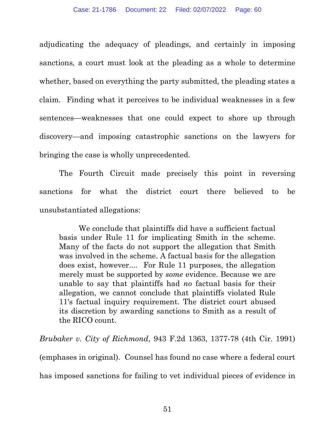adjudicating the adequacy of pleadings, and certainly in imposing sanctions, a court must look at the pleading as a whole to determine whether, based on everything the party submitted, the pleading states a claim. Finding what it perceives to be individual weaknesses in a few sentences—weaknesses that one could expect to shore up through discovery—and imposing catastrophic sanctions on the lawyers for bringing the case is wholly unprecedented.

The Fourth Circuit made precisely this point in reversing sanctions for what the district court there believed to be unsubstantiated allegations:

We conclude that plaintiffs did have a sufficient factual basis under Rule 11 for implicating Smith in the scheme. Many of the facts do not support the allegation that Smith was involved in the scheme. A factual basis for the allegation does exist, however.... For Rule 11 purposes, the allegation merely must be supported by some evidence. Because we are unable to say that plaintiffs had no factual basis for their allegation, we cannot conclude that plaintiffs violated Rule 11's factual inquiry requirement. The district court abused its discretion by awarding sanctions to Smith as a result of the RICO count.

Brubaker v. City of Richmond, 943 F.2d 1363, 1377-78 (4th Cir. 1991) (emphases in original). Counsel has found no case where a federal court has imposed sanctions for failing to vet individual pieces of evidence in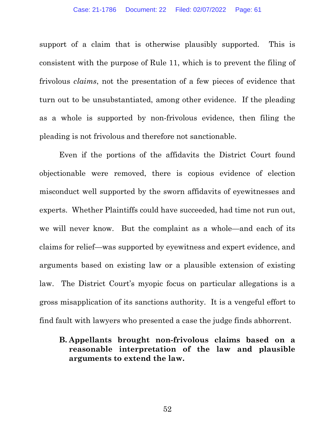support of a claim that is otherwise plausibly supported. This is consistent with the purpose of Rule 11, which is to prevent the filing of frivolous claims, not the presentation of a few pieces of evidence that turn out to be unsubstantiated, among other evidence. If the pleading as a whole is supported by non-frivolous evidence, then filing the pleading is not frivolous and therefore not sanctionable.

Even if the portions of the affidavits the District Court found objectionable were removed, there is copious evidence of election misconduct well supported by the sworn affidavits of eyewitnesses and experts. Whether Plaintiffs could have succeeded, had time not run out, we will never know. But the complaint as a whole—and each of its claims for relief—was supported by eyewitness and expert evidence, and arguments based on existing law or a plausible extension of existing law. The District Court's myopic focus on particular allegations is a gross misapplication of its sanctions authority. It is a vengeful effort to find fault with lawyers who presented a case the judge finds abhorrent.

## B. Appellants brought non-frivolous claims based on a reasonable interpretation of the law and plausible arguments to extend the law.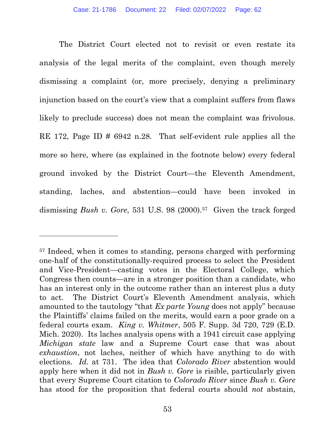The District Court elected not to revisit or even restate its analysis of the legal merits of the complaint, even though merely dismissing a complaint (or, more precisely, denying a preliminary injunction based on the court's view that a complaint suffers from flaws likely to preclude success) does not mean the complaint was frivolous. RE 172, Page ID # 6942 n.28. That self-evident rule applies all the more so here, where (as explained in the footnote below) every federal ground invoked by the District Court—the Eleventh Amendment, standing, laches, and abstention—could have been invoked in dismissing *Bush v. Gore*, 531 U.S. 98 (2000).<sup>57</sup> Given the track forged

<sup>57</sup> Indeed, when it comes to standing, persons charged with performing one-half of the constitutionally-required process to select the President and Vice-President—casting votes in the Electoral College, which Congress then counts—are in a stronger position than a candidate, who has an interest only in the outcome rather than an interest plus a duty to act. The District Court's Eleventh Amendment analysis, which amounted to the tautology "that Ex parte Young does not apply" because the Plaintiffs' claims failed on the merits, would earn a poor grade on a federal courts exam. King v. Whitmer, 505 F. Supp. 3d 720, 729 (E.D. Mich. 2020). Its laches analysis opens with a 1941 circuit case applying Michigan state law and a Supreme Court case that was about exhaustion, not laches, neither of which have anything to do with elections. Id. at 731. The idea that Colorado River abstention would apply here when it did not in Bush v. Gore is risible, particularly given that every Supreme Court citation to Colorado River since Bush v. Gore has stood for the proposition that federal courts should *not* abstain,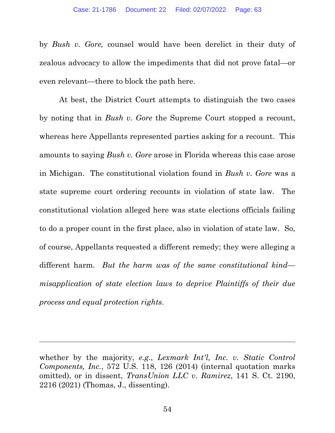by Bush v. Gore, counsel would have been derelict in their duty of zealous advocacy to allow the impediments that did not prove fatal—or even relevant—there to block the path here.

At best, the District Court attempts to distinguish the two cases by noting that in Bush v. Gore the Supreme Court stopped a recount, whereas here Appellants represented parties asking for a recount. This amounts to saying Bush v. Gore arose in Florida whereas this case arose in Michigan. The constitutional violation found in Bush v. Gore was a state supreme court ordering recounts in violation of state law. The constitutional violation alleged here was state elections officials failing to do a proper count in the first place, also in violation of state law. So, of course, Appellants requested a different remedy; they were alleging a different harm. But the harm was of the same constitutional kind misapplication of state election laws to deprive Plaintiffs of their due process and equal protection rights.

whether by the majority, e.g., Lexmark Int'l, Inc. v. Static Control Components, Inc., 572 U.S. 118, 126 (2014) (internal quotation marks omitted), or in dissent, TransUnion LLC v. Ramirez, 141 S. Ct. 2190, 2216 (2021) (Thomas, J., dissenting).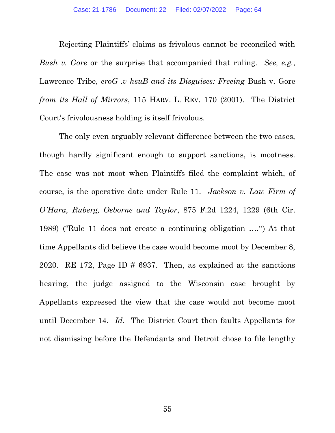Rejecting Plaintiffs' claims as frivolous cannot be reconciled with Bush v. Gore or the surprise that accompanied that ruling. See, e.g., Lawrence Tribe, eroG .v hsuB and its Disguises: Freeing Bush v. Gore from its Hall of Mirrors, 115 HARV. L. REV. 170 (2001). The District Court's frivolousness holding is itself frivolous.

The only even arguably relevant difference between the two cases, though hardly significant enough to support sanctions, is mootness. The case was not moot when Plaintiffs filed the complaint which, of course, is the operative date under Rule 11. Jackson v. Law Firm of O'Hara, Ruberg, Osborne and Taylor, 875 F.2d 1224, 1229 (6th Cir. 1989) ("Rule 11 does not create a continuing obligation ….") At that time Appellants did believe the case would become moot by December 8, 2020. RE 172, Page ID # 6937. Then, as explained at the sanctions hearing, the judge assigned to the Wisconsin case brought by Appellants expressed the view that the case would not become moot until December 14. Id. The District Court then faults Appellants for not dismissing before the Defendants and Detroit chose to file lengthy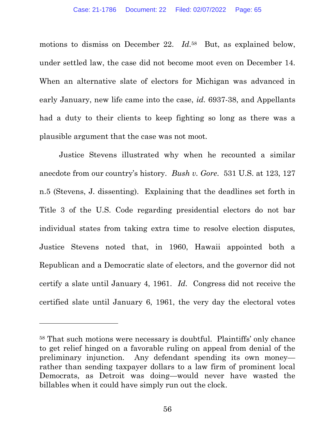motions to dismiss on December 22. *Id.*<sup>58</sup> But, as explained below, under settled law, the case did not become moot even on December 14. When an alternative slate of electors for Michigan was advanced in early January, new life came into the case, id. 6937-38, and Appellants had a duty to their clients to keep fighting so long as there was a plausible argument that the case was not moot.

Justice Stevens illustrated why when he recounted a similar anecdote from our country's history. Bush v. Gore. 531 U.S. at 123, 127 n.5 (Stevens, J. dissenting). Explaining that the deadlines set forth in Title 3 of the U.S. Code regarding presidential electors do not bar individual states from taking extra time to resolve election disputes, Justice Stevens noted that, in 1960, Hawaii appointed both a Republican and a Democratic slate of electors, and the governor did not certify a slate until January 4, 1961. Id. Congress did not receive the certified slate until January 6, 1961, the very day the electoral votes

<sup>58</sup> That such motions were necessary is doubtful. Plaintiffs' only chance to get relief hinged on a favorable ruling on appeal from denial of the preliminary injunction. Any defendant spending its own money rather than sending taxpayer dollars to a law firm of prominent local Democrats, as Detroit was doing—would never have wasted the billables when it could have simply run out the clock.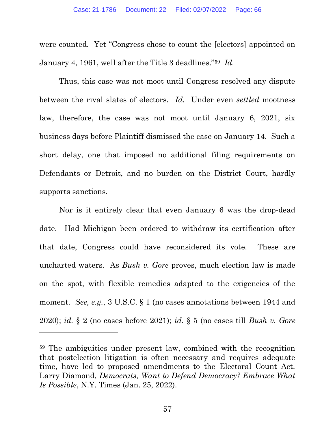were counted. Yet "Congress chose to count the [electors] appointed on January 4, 1961, well after the Title 3 deadlines."<sup>59</sup> Id.

Thus, this case was not moot until Congress resolved any dispute between the rival slates of electors. Id. Under even *settled* mootness law, therefore, the case was not moot until January 6, 2021, six business days before Plaintiff dismissed the case on January 14. Such a short delay, one that imposed no additional filing requirements on Defendants or Detroit, and no burden on the District Court, hardly supports sanctions.

Nor is it entirely clear that even January 6 was the drop-dead date. Had Michigan been ordered to withdraw its certification after that date, Congress could have reconsidered its vote. These are uncharted waters. As Bush v. Gore proves, much election law is made on the spot, with flexible remedies adapted to the exigencies of the moment. See, e.g., 3 U.S.C. § 1 (no cases annotations between 1944 and 2020); id.  $\S 2$  (no cases before 2021); id.  $\S 5$  (no cases till Bush v. Gore

<sup>59</sup> The ambiguities under present law, combined with the recognition that postelection litigation is often necessary and requires adequate time, have led to proposed amendments to the Electoral Count Act. Larry Diamond, Democrats, Want to Defend Democracy? Embrace What Is Possible, N.Y. Times (Jan. 25, 2022).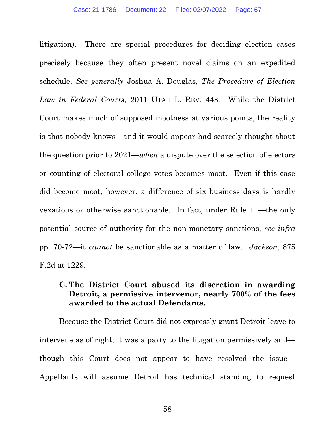litigation). There are special procedures for deciding election cases precisely because they often present novel claims on an expedited schedule. See generally Joshua A. Douglas, The Procedure of Election Law in Federal Courts, 2011 UTAH L. REV. 443. While the District Court makes much of supposed mootness at various points, the reality is that nobody knows—and it would appear had scarcely thought about the question prior to  $2021$ —when a dispute over the selection of electors or counting of electoral college votes becomes moot. Even if this case did become moot, however, a difference of six business days is hardly vexatious or otherwise sanctionable. In fact, under Rule 11—the only potential source of authority for the non-monetary sanctions, see infra pp. 70-72—it cannot be sanctionable as a matter of law. Jackson, 875 F.2d at 1229.

## C. The District Court abused its discretion in awarding Detroit, a permissive intervenor, nearly 700% of the fees awarded to the actual Defendants.

Because the District Court did not expressly grant Detroit leave to intervene as of right, it was a party to the litigation permissively and though this Court does not appear to have resolved the issue— Appellants will assume Detroit has technical standing to request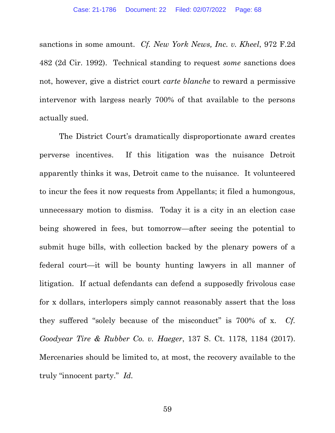sanctions in some amount. Cf. New York News, Inc. v. Kheel, 972 F.2d 482 (2d Cir. 1992). Technical standing to request some sanctions does not, however, give a district court carte blanche to reward a permissive intervenor with largess nearly 700% of that available to the persons actually sued.

The District Court's dramatically disproportionate award creates perverse incentives. If this litigation was the nuisance Detroit apparently thinks it was, Detroit came to the nuisance. It volunteered to incur the fees it now requests from Appellants; it filed a humongous, unnecessary motion to dismiss. Today it is a city in an election case being showered in fees, but tomorrow—after seeing the potential to submit huge bills, with collection backed by the plenary powers of a federal court—it will be bounty hunting lawyers in all manner of litigation. If actual defendants can defend a supposedly frivolous case for x dollars, interlopers simply cannot reasonably assert that the loss they suffered "solely because of the misconduct" is 700% of x. Cf. Goodyear Tire & Rubber Co. v. Haeger, 137 S. Ct. 1178, 1184 (2017). Mercenaries should be limited to, at most, the recovery available to the truly "innocent party." Id.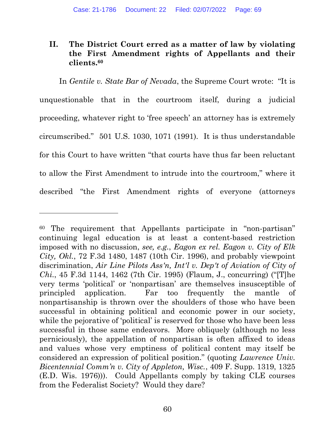## II. The District Court erred as a matter of law by violating the First Amendment rights of Appellants and their clients.<sup>60</sup>

In Gentile v. State Bar of Nevada, the Supreme Court wrote: "It is unquestionable that in the courtroom itself, during a judicial proceeding, whatever right to 'free speech' an attorney has is extremely circumscribed." 501 U.S. 1030, 1071 (1991). It is thus understandable for this Court to have written "that courts have thus far been reluctant to allow the First Amendment to intrude into the courtroom," where it described "the First Amendment rights of everyone (attorneys

<sup>60</sup> The requirement that Appellants participate in "non-partisan" continuing legal education is at least a content-based restriction imposed with no discussion, see, e.g., Eagon ex rel. Eagon v. City of Elk City, Okl., 72 F.3d 1480, 1487 (10th Cir. 1996), and probably viewpoint discrimination, Air Line Pilots Ass'n, Int'l v. Dep't of Aviation of City of Chi., 45 F.3d 1144, 1462 (7th Cir. 1995) (Flaum, J., concurring) ("[T]he very terms 'political' or 'nonpartisan' are themselves insusceptible of principled application. Far too frequently the mantle of nonpartisanship is thrown over the shoulders of those who have been successful in obtaining political and economic power in our society, while the pejorative of 'political' is reserved for those who have been less successful in those same endeavors. More obliquely (although no less perniciously), the appellation of nonpartisan is often affixed to ideas and values whose very emptiness of political content may itself be considered an expression of political position." (quoting Lawrence Univ. Bicentennial Comm'n v. City of Appleton, Wisc., 409 F. Supp. 1319, 1325 (E.D. Wis. 1976))). Could Appellants comply by taking CLE courses from the Federalist Society? Would they dare?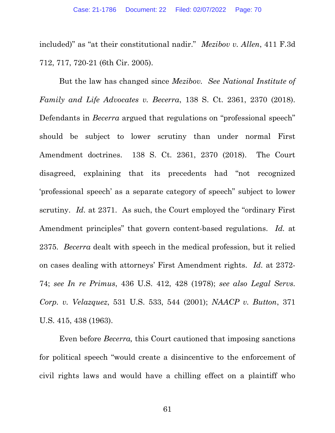included)" as "at their constitutional nadir." Mezibov v. Allen, 411 F.3d 712, 717, 720-21 (6th Cir. 2005).

But the law has changed since Mezibov. See National Institute of Family and Life Advocates v. Becerra, 138 S. Ct. 2361, 2370 (2018). Defendants in *Becerra* argued that regulations on "professional speech" should be subject to lower scrutiny than under normal First Amendment doctrines. 138 S. Ct. 2361, 2370 (2018). The Court disagreed, explaining that its precedents had "not recognized 'professional speech' as a separate category of speech" subject to lower scrutiny. *Id.* at 2371. As such, the Court employed the "ordinary First" Amendment principles" that govern content-based regulations. Id. at 2375. Becerra dealt with speech in the medical profession, but it relied on cases dealing with attorneys' First Amendment rights. Id. at 2372- 74; see In re Primus, 436 U.S. 412, 428 (1978); see also Legal Servs. Corp. v. Velazquez, 531 U.S. 533, 544 (2001); NAACP v. Button, 371 U.S. 415, 438 (1963).

Even before Becerra, this Court cautioned that imposing sanctions for political speech "would create a disincentive to the enforcement of civil rights laws and would have a chilling effect on a plaintiff who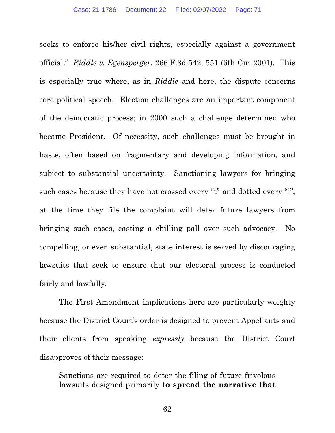seeks to enforce his/her civil rights, especially against a government official." Riddle v. Egensperger, 266 F.3d 542, 551 (6th Cir. 2001). This is especially true where, as in Riddle and here, the dispute concerns core political speech. Election challenges are an important component of the democratic process; in 2000 such a challenge determined who became President. Of necessity, such challenges must be brought in haste, often based on fragmentary and developing information, and subject to substantial uncertainty. Sanctioning lawyers for bringing such cases because they have not crossed every "t" and dotted every "i", at the time they file the complaint will deter future lawyers from bringing such cases, casting a chilling pall over such advocacy. No compelling, or even substantial, state interest is served by discouraging lawsuits that seek to ensure that our electoral process is conducted fairly and lawfully.

The First Amendment implications here are particularly weighty because the District Court's order is designed to prevent Appellants and their clients from speaking expressly because the District Court disapproves of their message:

Sanctions are required to deter the filing of future frivolous lawsuits designed primarily to spread the narrative that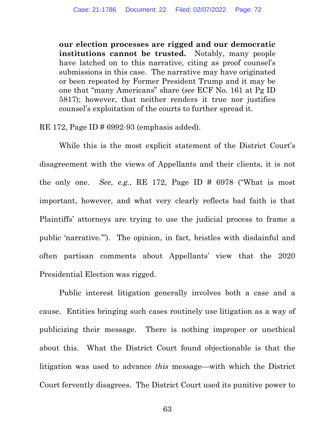our election processes are rigged and our democratic institutions cannot be trusted. Notably, many people have latched on to this narrative, citing as proof counsel's submissions in this case. The narrative may have originated or been repeated by Former President Trump and it may be one that "many Americans" share (see ECF No. 161 at Pg ID 5817); however, that neither renders it true nor justifies counsel's exploitation of the courts to further spread it.

RE 172, Page ID # 6992-93 (emphasis added).

 While this is the most explicit statement of the District Court's disagreement with the views of Appellants and their clients, it is not the only one. See, e.g., RE 172, Page ID  $\#$  6978 ("What is most important, however, and what very clearly reflects bad faith is that Plaintiffs' attorneys are trying to use the judicial process to frame a public 'narrative.'"). The opinion, in fact, bristles with disdainful and often partisan comments about Appellants' view that the 2020 Presidential Election was rigged.

 Public interest litigation generally involves both a case and a cause. Entities bringing such cases routinely use litigation as a way of publicizing their message. There is nothing improper or unethical about this. What the District Court found objectionable is that the litigation was used to advance this message—with which the District Court fervently disagrees. The District Court used its punitive power to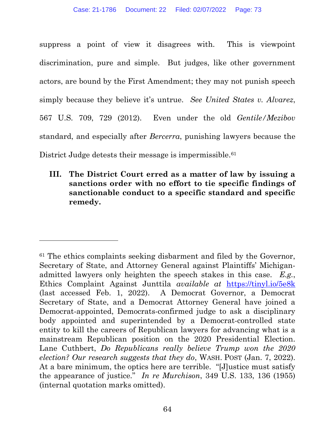suppress a point of view it disagrees with. This is viewpoint discrimination, pure and simple. But judges, like other government actors, are bound by the First Amendment; they may not punish speech simply because they believe it's untrue. See United States v. Alvarez, 567 U.S. 709, 729 (2012). Even under the old Gentile/Mezibov standard, and especially after Bercerra, punishing lawyers because the District Judge detests their message is impermissible.<sup>61</sup>

### III. The District Court erred as a matter of law by issuing a sanctions order with no effort to tie specific findings of sanctionable conduct to a specific standard and specific remedy.

<sup>61</sup> The ethics complaints seeking disbarment and filed by the Governor, Secretary of State, and Attorney General against Plaintiffs' Michiganadmitted lawyers only heighten the speech stakes in this case. E.g., Ethics Complaint Against Junttila available at https://tinyl.io/5e8k (last accessed Feb. 1, 2022). A Democrat Governor, a Democrat Secretary of State, and a Democrat Attorney General have joined a Democrat-appointed, Democrats-confirmed judge to ask a disciplinary body appointed and superintended by a Democrat-controlled state entity to kill the careers of Republican lawyers for advancing what is a mainstream Republican position on the 2020 Presidential Election. Lane Cuthbert, Do Republicans really believe Trump won the 2020 election? Our research suggests that they do, WASH. POST (Jan. 7, 2022). At a bare minimum, the optics here are terrible. "[J]ustice must satisfy the appearance of justice." In re Murchison, 349 U.S. 133, 136 (1955) (internal quotation marks omitted).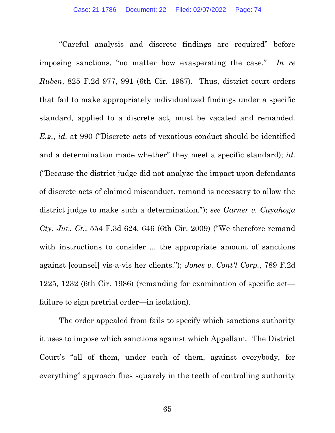"Careful analysis and discrete findings are required" before imposing sanctions, "no matter how exasperating the case." In re Ruben, 825 F.2d 977, 991 (6th Cir. 1987). Thus, district court orders that fail to make appropriately individualized findings under a specific standard, applied to a discrete act, must be vacated and remanded. E.g., id. at 990 ("Discrete acts of vexatious conduct should be identified and a determination made whether" they meet a specific standard); id. ("Because the district judge did not analyze the impact upon defendants of discrete acts of claimed misconduct, remand is necessary to allow the district judge to make such a determination."); see Garner v. Cuyahoga Cty. Juv. Ct., 554 F.3d 624, 646 (6th Cir. 2009) ("We therefore remand with instructions to consider ... the appropriate amount of sanctions against [counsel] vis-a-vis her clients."); Jones v. Cont'l Corp., 789 F.2d 1225, 1232 (6th Cir. 1986) (remanding for examination of specific act failure to sign pretrial order—in isolation).

The order appealed from fails to specify which sanctions authority it uses to impose which sanctions against which Appellant. The District Court's "all of them, under each of them, against everybody, for everything" approach flies squarely in the teeth of controlling authority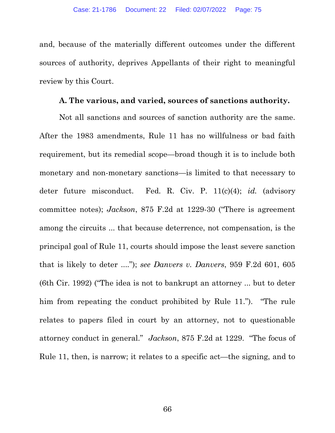and, because of the materially different outcomes under the different sources of authority, deprives Appellants of their right to meaningful review by this Court.

#### A. The various, and varied, sources of sanctions authority.

Not all sanctions and sources of sanction authority are the same. After the 1983 amendments, Rule 11 has no willfulness or bad faith requirement, but its remedial scope—broad though it is to include both monetary and non-monetary sanctions—is limited to that necessary to deter future misconduct. Fed. R. Civ. P. 11(c)(4); *id.* (advisory committee notes); Jackson, 875 F.2d at 1229-30 ("There is agreement among the circuits ... that because deterrence, not compensation, is the principal goal of Rule 11, courts should impose the least severe sanction that is likely to deter ...."); see Danvers v. Danvers, 959 F.2d 601, 605 (6th Cir. 1992) ("The idea is not to bankrupt an attorney ... but to deter him from repeating the conduct prohibited by Rule 11."). "The rule relates to papers filed in court by an attorney, not to questionable attorney conduct in general." Jackson, 875 F.2d at 1229. "The focus of Rule 11, then, is narrow; it relates to a specific act—the signing, and to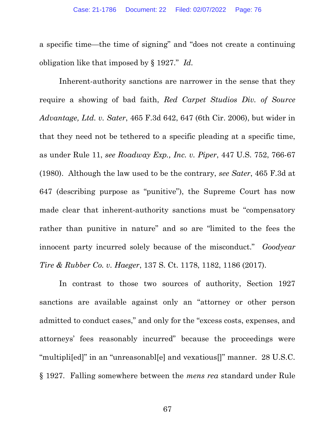a specific time—the time of signing" and "does not create a continuing obligation like that imposed by § 1927." Id.

Inherent-authority sanctions are narrower in the sense that they require a showing of bad faith, Red Carpet Studios Div. of Source Advantage, Ltd. v. Sater, 465 F.3d 642, 647 (6th Cir. 2006), but wider in that they need not be tethered to a specific pleading at a specific time, as under Rule 11, see Roadway Exp., Inc. v. Piper, 447 U.S. 752, 766-67 (1980). Although the law used to be the contrary, see Sater, 465 F.3d at 647 (describing purpose as "punitive"), the Supreme Court has now made clear that inherent-authority sanctions must be "compensatory rather than punitive in nature" and so are "limited to the fees the innocent party incurred solely because of the misconduct." Goodyear Tire & Rubber Co. v. Haeger, 137 S. Ct. 1178, 1182, 1186 (2017).

In contrast to those two sources of authority, Section 1927 sanctions are available against only an "attorney or other person admitted to conduct cases," and only for the "excess costs, expenses, and attorneys' fees reasonably incurred" because the proceedings were "multipli[ed]" in an "unreasonabl[e] and vexatious[]" manner. 28 U.S.C. § 1927. Falling somewhere between the mens rea standard under Rule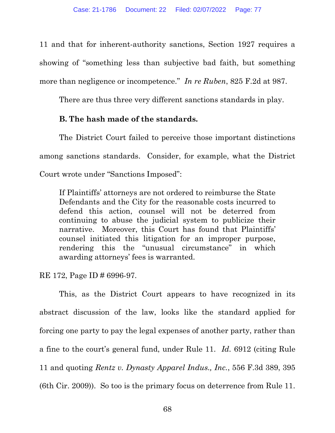11 and that for inherent-authority sanctions, Section 1927 requires a showing of "something less than subjective bad faith, but something more than negligence or incompetence." In re Ruben, 825 F.2d at 987.

There are thus three very different sanctions standards in play.

## B. The hash made of the standards.

The District Court failed to perceive those important distinctions among sanctions standards. Consider, for example, what the District Court wrote under "Sanctions Imposed":

If Plaintiffs' attorneys are not ordered to reimburse the State Defendants and the City for the reasonable costs incurred to defend this action, counsel will not be deterred from continuing to abuse the judicial system to publicize their narrative. Moreover, this Court has found that Plaintiffs' counsel initiated this litigation for an improper purpose, rendering this the "unusual circumstance" in which awarding attorneys' fees is warranted.

RE 172, Page ID # 6996-97.

This, as the District Court appears to have recognized in its abstract discussion of the law, looks like the standard applied for forcing one party to pay the legal expenses of another party, rather than a fine to the court's general fund, under Rule 11. Id. 6912 (citing Rule 11 and quoting Rentz v. Dynasty Apparel Indus., Inc., 556 F.3d 389, 395 (6th Cir. 2009)). So too is the primary focus on deterrence from Rule 11.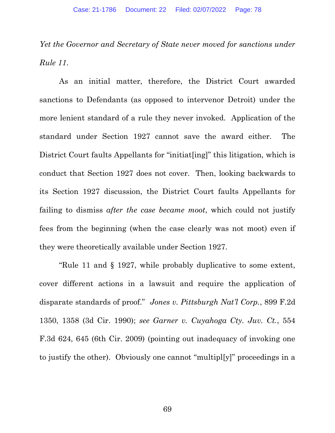Yet the Governor and Secretary of State never moved for sanctions under Rule 11.

As an initial matter, therefore, the District Court awarded sanctions to Defendants (as opposed to intervenor Detroit) under the more lenient standard of a rule they never invoked. Application of the standard under Section 1927 cannot save the award either. The District Court faults Appellants for "initiat[ing]" this litigation, which is conduct that Section 1927 does not cover. Then, looking backwards to its Section 1927 discussion, the District Court faults Appellants for failing to dismiss after the case became moot, which could not justify fees from the beginning (when the case clearly was not moot) even if they were theoretically available under Section 1927.

"Rule 11 and § 1927, while probably duplicative to some extent, cover different actions in a lawsuit and require the application of disparate standards of proof." Jones v. Pittsburgh Nat'l Corp., 899 F.2d 1350, 1358 (3d Cir. 1990); see Garner v. Cuyahoga Cty. Juv. Ct., 554 F.3d 624, 645 (6th Cir. 2009) (pointing out inadequacy of invoking one to justify the other). Obviously one cannot "multipl[y]" proceedings in a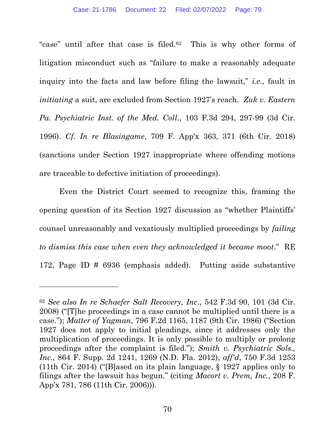"case" until after that case is filed.<sup>62</sup> This is why other forms of litigation misconduct such as "failure to make a reasonably adequate inquiry into the facts and law before filing the lawsuit," i.e., fault in initiating a suit, are excluded from Section 1927's reach. Zuk v. Eastern Pa. Psychiatric Inst. of the Med. Coll., 103 F.3d 294, 297-99 (3d Cir. 1996). Cf. In re Blasingame, 709 F. App'x 363, 371 (6th Cir. 2018) (sanctions under Section 1927 inappropriate where offending motions are traceable to defective initiation of proceedings).

Even the District Court seemed to recognize this, framing the opening question of its Section 1927 discussion as "whether Plaintiffs' counsel unreasonably and vexatiously multiplied proceedings by failing to dismiss this case when even they acknowledged it became moot." RE 172, Page ID # 6936 (emphasis added). Putting aside substantive

<sup>62</sup> See also In re Schaefer Salt Recovery, Inc., 542 F.3d 90, 101 (3d Cir. 2008) ("[T]he proceedings in a case cannot be multiplied until there is a case."); Matter of Yagman, 796 F.2d 1165, 1187 (9th Cir. 1986) ("Section 1927 does not apply to initial pleadings, since it addresses only the multiplication of proceedings. It is only possible to multiply or prolong proceedings after the complaint is filed."); Smith v. Psychiatric Sols., Inc., 864 F. Supp. 2d 1241, 1269 (N.D. Fla. 2012), aff'd, 750 F.3d 1253 (11th Cir. 2014) ("[B]ased on its plain language, § 1927 applies only to filings after the lawsuit has begun." (citing Macort v. Prem, Inc., 208 F. App'x 781, 786 (11th Cir. 2006))).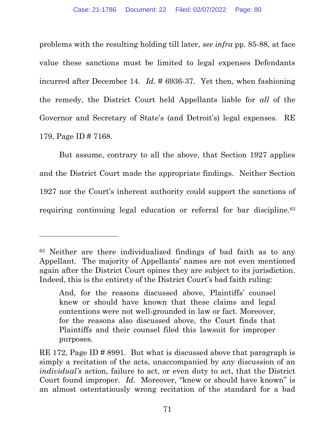problems with the resulting holding till later, see infra pp. 85-88, at face value these sanctions must be limited to legal expenses Defendants incurred after December 14. Id. # 6936-37. Yet then, when fashioning the remedy, the District Court held Appellants liable for all of the Governor and Secretary of State's (and Detroit's) legal expenses. RE 179, Page ID # 7168.

But assume, contrary to all the above, that Section 1927 applies and the District Court made the appropriate findings. Neither Section 1927 nor the Court's inherent authority could support the sanctions of requiring continuing legal education or referral for bar discipline.<sup>63</sup>

<sup>63</sup> Neither are there individualized findings of bad faith as to any Appellant. The majority of Appellants' names are not even mentioned again after the District Court opines they are subject to its jurisdiction. Indeed, this is the entirety of the District Court's bad faith ruling:

And, for the reasons discussed above, Plaintiffs' counsel knew or should have known that these claims and legal contentions were not well-grounded in law or fact. Moreover, for the reasons also discussed above, the Court finds that Plaintiffs and their counsel filed this lawsuit for improper purposes.

RE 172, Page ID # 8991. But what is discussed above that paragraph is simply a recitation of the acts, unaccompanied by any discussion of an individual's action, failure to act, or even duty to act, that the District Court found improper. Id. Moreover, "knew or should have known" is an almost ostentatiously wrong recitation of the standard for a bad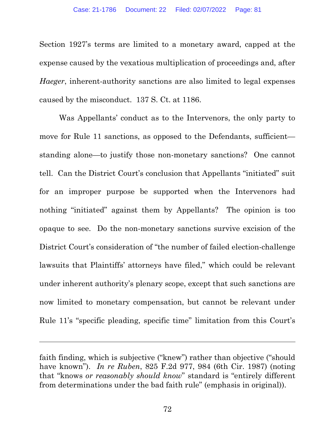Section 1927's terms are limited to a monetary award, capped at the expense caused by the vexatious multiplication of proceedings and, after Haeger, inherent-authority sanctions are also limited to legal expenses caused by the misconduct. 137 S. Ct. at 1186.

Was Appellants' conduct as to the Intervenors, the only party to move for Rule 11 sanctions, as opposed to the Defendants, sufficient standing alone—to justify those non-monetary sanctions? One cannot tell. Can the District Court's conclusion that Appellants "initiated" suit for an improper purpose be supported when the Intervenors had nothing "initiated" against them by Appellants? The opinion is too opaque to see. Do the non-monetary sanctions survive excision of the District Court's consideration of "the number of failed election-challenge lawsuits that Plaintiffs' attorneys have filed," which could be relevant under inherent authority's plenary scope, except that such sanctions are now limited to monetary compensation, but cannot be relevant under Rule 11's "specific pleading, specific time" limitation from this Court's

faith finding, which is subjective ("knew") rather than objective ("should have known"). In re Ruben, 825 F.2d 977, 984 (6th Cir. 1987) (noting that "knows or reasonably should know" standard is "entirely different from determinations under the bad faith rule" (emphasis in original)).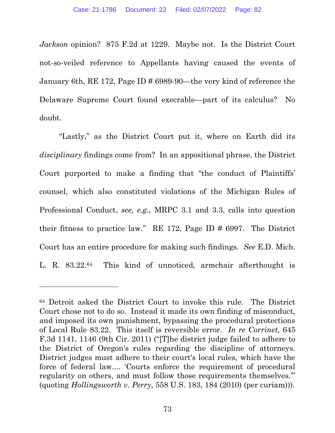Jackson opinion? 875 F.2d at 1229. Maybe not. Is the District Court not-so-veiled reference to Appellants having caused the events of January 6th, RE 172, Page ID # 6989-90—the very kind of reference the Delaware Supreme Court found execrable—part of its calculus? No doubt.

"Lastly," as the District Court put it, where on Earth did its disciplinary findings come from? In an appositional phrase, the District Court purported to make a finding that "the conduct of Plaintiffs' counsel, which also constituted violations of the Michigan Rules of Professional Conduct, see, e.g., MRPC 3.1 and 3.3, calls into question their fitness to practice law." RE 172, Page ID # 6997. The District Court has an entire procedure for making such findings. See E.D. Mich. L. R. 83.22.64 This kind of unnoticed, armchair afterthought is

<sup>64</sup> Detroit asked the District Court to invoke this rule. The District Court chose not to do so. Instead it made its own finding of misconduct, and imposed its own punishment, bypassing the procedural protections of Local Rule 83.22. This itself is reversible error. In re Corrinet, 645 F.3d 1141, 1146 (9th Cir. 2011) ("[T]he district judge failed to adhere to the District of Oregon's rules regarding the discipline of attorneys. District judges must adhere to their court's local rules, which have the force of federal law.... 'Courts enforce the requirement of procedural regularity on others, and must follow those requirements themselves.'" (quoting Hollingsworth v. Perry, 558 U.S. 183, 184 (2010) (per curiam))).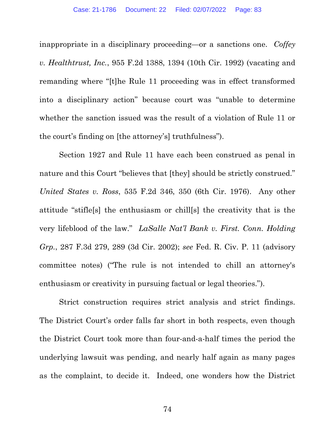inappropriate in a disciplinary proceeding—or a sanctions one. Coffey v. Healthtrust, Inc., 955 F.2d 1388, 1394 (10th Cir. 1992) (vacating and remanding where "[t]he Rule 11 proceeding was in effect transformed into a disciplinary action" because court was "unable to determine whether the sanction issued was the result of a violation of Rule 11 or the court's finding on [the attorney's] truthfulness").

Section 1927 and Rule 11 have each been construed as penal in nature and this Court "believes that [they] should be strictly construed." United States v. Ross, 535 F.2d 346, 350 (6th Cir. 1976). Any other attitude "stifle[s] the enthusiasm or chill[s] the creativity that is the very lifeblood of the law." LaSalle Nat'l Bank v. First. Conn. Holding Grp., 287 F.3d 279, 289 (3d Cir. 2002); see Fed. R. Civ. P. 11 (advisory committee notes) ("The rule is not intended to chill an attorney's enthusiasm or creativity in pursuing factual or legal theories.").

Strict construction requires strict analysis and strict findings. The District Court's order falls far short in both respects, even though the District Court took more than four-and-a-half times the period the underlying lawsuit was pending, and nearly half again as many pages as the complaint, to decide it. Indeed, one wonders how the District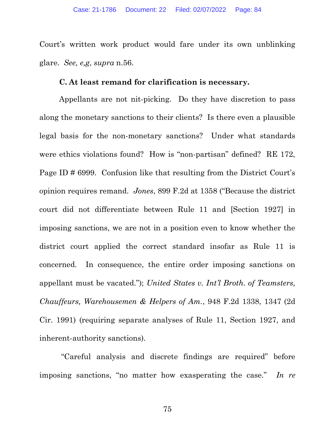Court's written work product would fare under its own unblinking glare. See, e,g, supra n.56.

#### C. At least remand for clarification is necessary.

Appellants are not nit-picking. Do they have discretion to pass along the monetary sanctions to their clients? Is there even a plausible legal basis for the non-monetary sanctions? Under what standards were ethics violations found? How is "non-partisan" defined? RE 172, Page ID # 6999. Confusion like that resulting from the District Court's opinion requires remand. Jones, 899 F.2d at 1358 ("Because the district court did not differentiate between Rule 11 and [Section 1927] in imposing sanctions, we are not in a position even to know whether the district court applied the correct standard insofar as Rule 11 is concerned. In consequence, the entire order imposing sanctions on appellant must be vacated."); United States v. Int'l Broth. of Teamsters, Chauffeurs, Warehousemen & Helpers of Am., 948 F.2d 1338, 1347 (2d Cir. 1991) (requiring separate analyses of Rule 11, Section 1927, and inherent-authority sanctions).

 "Careful analysis and discrete findings are required" before imposing sanctions, "no matter how exasperating the case." In re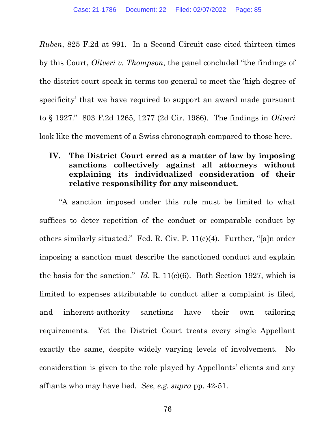Ruben, 825 F.2d at 991. In a Second Circuit case cited thirteen times by this Court, Oliveri v. Thompson, the panel concluded "the findings of the district court speak in terms too general to meet the 'high degree of specificity' that we have required to support an award made pursuant to § 1927." 803 F.2d 1265, 1277 (2d Cir. 1986). The findings in Oliveri look like the movement of a Swiss chronograph compared to those here.

#### IV. The District Court erred as a matter of law by imposing sanctions collectively against all attorneys without explaining its individualized consideration of their relative responsibility for any misconduct.

"A sanction imposed under this rule must be limited to what suffices to deter repetition of the conduct or comparable conduct by others similarly situated." Fed. R. Civ. P. 11(c)(4). Further, "[a]n order imposing a sanction must describe the sanctioned conduct and explain the basis for the sanction." Id. R.  $11(c)(6)$ . Both Section 1927, which is limited to expenses attributable to conduct after a complaint is filed, and inherent-authority sanctions have their own tailoring requirements. Yet the District Court treats every single Appellant exactly the same, despite widely varying levels of involvement. No consideration is given to the role played by Appellants' clients and any affiants who may have lied. See, e.g. supra pp. 42-51.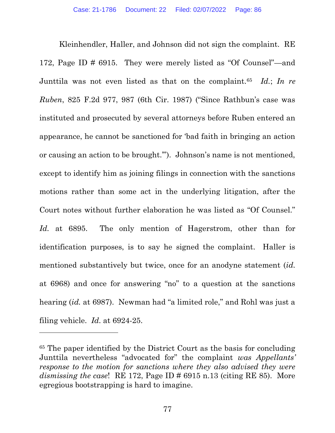Kleinhendler, Haller, and Johnson did not sign the complaint. RE 172, Page ID # 6915. They were merely listed as "Of Counsel"—and Junttila was not even listed as that on the complaint.<sup>65</sup> Id.; In re Ruben, 825 F.2d 977, 987 (6th Cir. 1987) ("Since Rathbun's case was instituted and prosecuted by several attorneys before Ruben entered an appearance, he cannot be sanctioned for 'bad faith in bringing an action or causing an action to be brought.'"). Johnson's name is not mentioned, except to identify him as joining filings in connection with the sanctions motions rather than some act in the underlying litigation, after the Court notes without further elaboration he was listed as "Of Counsel." Id. at 6895. The only mention of Hagerstrom, other than for identification purposes, is to say he signed the complaint. Haller is mentioned substantively but twice, once for an anodyne statement (id. at 6968) and once for answering "no" to a question at the sanctions hearing *(id.* at 6987). Newman had "a limited role," and Rohl was just a filing vehicle. Id. at 6924-25.

<sup>65</sup> The paper identified by the District Court as the basis for concluding Junttila nevertheless "advocated for" the complaint was Appellants' response to the motion for sanctions where they also advised they were dismissing the case! RE 172, Page ID  $\#$  6915 n.13 (citing RE 85). More egregious bootstrapping is hard to imagine.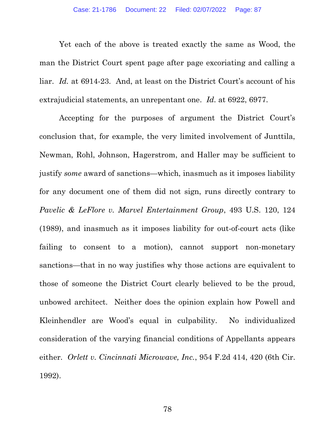Yet each of the above is treated exactly the same as Wood, the man the District Court spent page after page excoriating and calling a liar. Id. at 6914-23. And, at least on the District Court's account of his extrajudicial statements, an unrepentant one. Id. at 6922, 6977.

Accepting for the purposes of argument the District Court's conclusion that, for example, the very limited involvement of Junttila, Newman, Rohl, Johnson, Hagerstrom, and Haller may be sufficient to justify some award of sanctions—which, inasmuch as it imposes liability for any document one of them did not sign, runs directly contrary to Pavelic & LeFlore v. Marvel Entertainment Group, 493 U.S. 120, 124 (1989), and inasmuch as it imposes liability for out-of-court acts (like failing to consent to a motion), cannot support non-monetary sanctions—that in no way justifies why those actions are equivalent to those of someone the District Court clearly believed to be the proud, unbowed architect. Neither does the opinion explain how Powell and Kleinhendler are Wood's equal in culpability. No individualized consideration of the varying financial conditions of Appellants appears either. Orlett v. Cincinnati Microwave, Inc., 954 F.2d 414, 420 (6th Cir. 1992).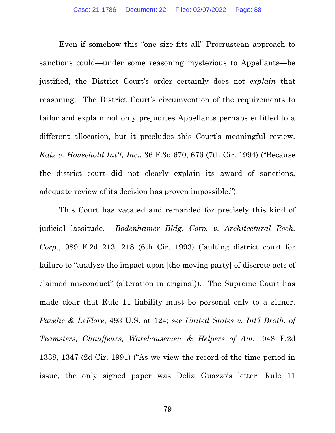Even if somehow this "one size fits all" Procrustean approach to sanctions could—under some reasoning mysterious to Appellants—be justified, the District Court's order certainly does not explain that reasoning. The District Court's circumvention of the requirements to tailor and explain not only prejudices Appellants perhaps entitled to a different allocation, but it precludes this Court's meaningful review. Katz v. Household Int'l, Inc., 36 F.3d 670, 676 (7th Cir. 1994) ("Because the district court did not clearly explain its award of sanctions, adequate review of its decision has proven impossible.").

This Court has vacated and remanded for precisely this kind of judicial lassitude. Bodenhamer Bldg. Corp. v. Architectural Rsch. Corp., 989 F.2d 213, 218 (6th Cir. 1993) (faulting district court for failure to "analyze the impact upon [the moving party] of discrete acts of claimed misconduct" (alteration in original)). The Supreme Court has made clear that Rule 11 liability must be personal only to a signer. Pavelic & LeFlore, 493 U.S. at 124; see United States v. Int'l Broth. of Teamsters, Chauffeurs, Warehousemen & Helpers of Am., 948 F.2d 1338, 1347 (2d Cir. 1991) ("As we view the record of the time period in issue, the only signed paper was Delia Guazzo's letter. Rule 11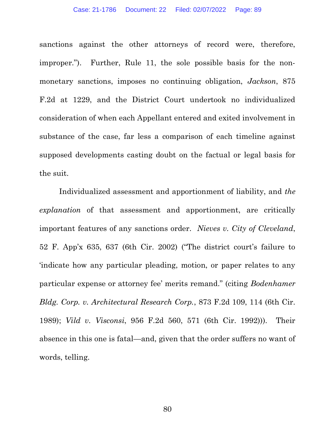sanctions against the other attorneys of record were, therefore, improper."). Further, Rule 11, the sole possible basis for the nonmonetary sanctions, imposes no continuing obligation, Jackson, 875 F.2d at 1229, and the District Court undertook no individualized consideration of when each Appellant entered and exited involvement in substance of the case, far less a comparison of each timeline against supposed developments casting doubt on the factual or legal basis for the suit.

Individualized assessment and apportionment of liability, and the explanation of that assessment and apportionment, are critically important features of any sanctions order. Nieves v. City of Cleveland, 52 F. App'x 635, 637 (6th Cir. 2002) ("The district court's failure to 'indicate how any particular pleading, motion, or paper relates to any particular expense or attorney fee' merits remand." (citing Bodenhamer Bldg. Corp. v. Architectural Research Corp., 873 F.2d 109, 114 (6th Cir. 1989); Vild v. Visconsi, 956 F.2d 560, 571 (6th Cir. 1992))). Their absence in this one is fatal—and, given that the order suffers no want of words, telling.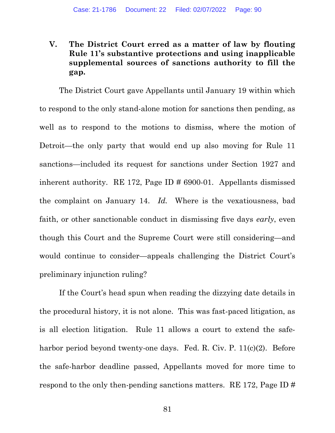## V. The District Court erred as a matter of law by flouting Rule 11's substantive protections and using inapplicable supplemental sources of sanctions authority to fill the gap.

The District Court gave Appellants until January 19 within which to respond to the only stand-alone motion for sanctions then pending, as well as to respond to the motions to dismiss, where the motion of Detroit—the only party that would end up also moving for Rule 11 sanctions—included its request for sanctions under Section 1927 and inherent authority. RE 172, Page ID # 6900-01. Appellants dismissed the complaint on January 14. Id. Where is the vexatiousness, bad faith, or other sanctionable conduct in dismissing five days early, even though this Court and the Supreme Court were still considering—and would continue to consider—appeals challenging the District Court's preliminary injunction ruling?

If the Court's head spun when reading the dizzying date details in the procedural history, it is not alone. This was fast-paced litigation, as is all election litigation. Rule 11 allows a court to extend the safeharbor period beyond twenty-one days. Fed. R. Civ. P. 11(c)(2). Before the safe-harbor deadline passed, Appellants moved for more time to respond to the only then-pending sanctions matters. RE 172, Page ID #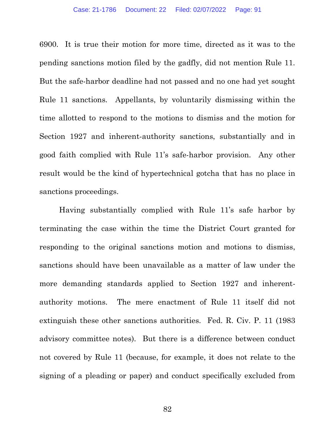6900. It is true their motion for more time, directed as it was to the pending sanctions motion filed by the gadfly, did not mention Rule 11. But the safe-harbor deadline had not passed and no one had yet sought Rule 11 sanctions. Appellants, by voluntarily dismissing within the time allotted to respond to the motions to dismiss and the motion for Section 1927 and inherent-authority sanctions, substantially and in good faith complied with Rule 11's safe-harbor provision. Any other result would be the kind of hypertechnical gotcha that has no place in sanctions proceedings.

Having substantially complied with Rule 11's safe harbor by terminating the case within the time the District Court granted for responding to the original sanctions motion and motions to dismiss, sanctions should have been unavailable as a matter of law under the more demanding standards applied to Section 1927 and inherentauthority motions. The mere enactment of Rule 11 itself did not extinguish these other sanctions authorities. Fed. R. Civ. P. 11 (1983 advisory committee notes). But there is a difference between conduct not covered by Rule 11 (because, for example, it does not relate to the signing of a pleading or paper) and conduct specifically excluded from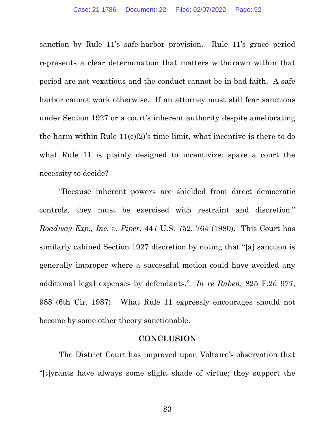sanction by Rule 11's safe-harbor provision. Rule 11's grace period represents a clear determination that matters withdrawn within that period are not vexatious and the conduct cannot be in bad faith. A safe harbor cannot work otherwise. If an attorney must still fear sanctions under Section 1927 or a court's inherent authority despite ameliorating the harm within Rule  $11(c)(2)$ 's time limit, what incentive is there to do what Rule 11 is plainly designed to incentivize: spare a court the necessity to decide?

"Because inherent powers are shielded from direct democratic controls, they must be exercised with restraint and discretion." Roadway Exp., Inc. v. Piper, 447 U.S. 752, 764 (1980). This Court has similarly cabined Section 1927 discretion by noting that "[a] sanction is generally improper where a successful motion could have avoided any additional legal expenses by defendants." In re Ruben, 825 F.2d 977, 988 (6th Cir. 1987). What Rule 11 expressly encourages should not become by some other theory sanctionable.

#### **CONCLUSION**

The District Court has improved upon Voltaire's observation that "[t]yrants have always some slight shade of virtue; they support the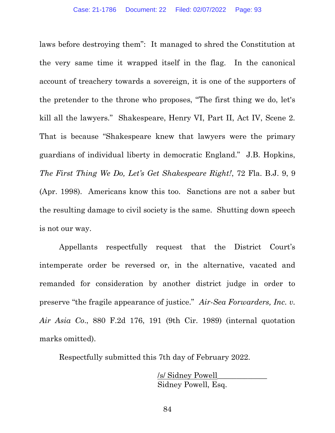laws before destroying them": It managed to shred the Constitution at the very same time it wrapped itself in the flag. In the canonical account of treachery towards a sovereign, it is one of the supporters of the pretender to the throne who proposes, "The first thing we do, let's kill all the lawyers." Shakespeare, Henry VI, Part II, Act IV, Scene 2. That is because "Shakespeare knew that lawyers were the primary guardians of individual liberty in democratic England." J.B. Hopkins, The First Thing We Do, Let's Get Shakespeare Right!, 72 Fla. B.J. 9, 9 (Apr. 1998). Americans know this too. Sanctions are not a saber but the resulting damage to civil society is the same. Shutting down speech is not our way.

Appellants respectfully request that the District Court's intemperate order be reversed or, in the alternative, vacated and remanded for consideration by another district judge in order to preserve "the fragile appearance of justice." Air-Sea Forwarders, Inc. v. Air Asia Co., 880 F.2d 176, 191 (9th Cir. 1989) (internal quotation marks omitted).

Respectfully submitted this 7th day of February 2022.

 /s/ Sidney Powell\_\_\_\_\_\_\_\_\_\_\_\_\_ Sidney Powell, Esq.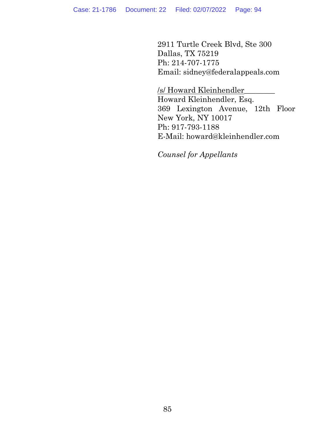2911 Turtle Creek Blvd, Ste 300 Dallas, TX 75219 Ph: 214-707-1775 Email: sidney@federalappeals.com

/s/ Howard Kleinhendler\_\_\_\_\_\_\_\_ Howard Kleinhendler, Esq. 369 Lexington Avenue, 12th Floor New York, NY 10017 Ph: 917-793-1188 E-Mail: howard@kleinhendler.com

Counsel for Appellants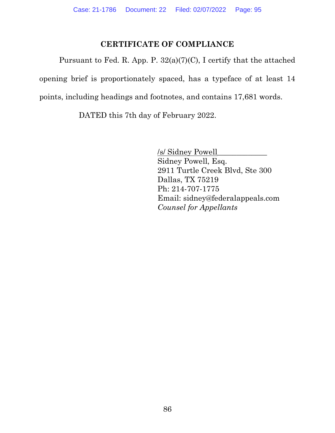## CERTIFICATE OF COMPLIANCE

Pursuant to Fed. R. App. P. 32(a)(7)(C), I certify that the attached opening brief is proportionately spaced, has a typeface of at least 14 points, including headings and footnotes, and contains 17,681 words.

DATED this 7th day of February 2022.

 /s/ Sidney Powell\_\_\_\_\_\_\_\_\_\_\_\_\_ Sidney Powell, Esq. 2911 Turtle Creek Blvd, Ste 300 Dallas, TX 75219 Ph: 214-707-1775 Email: sidney@federalappeals.com Counsel for Appellants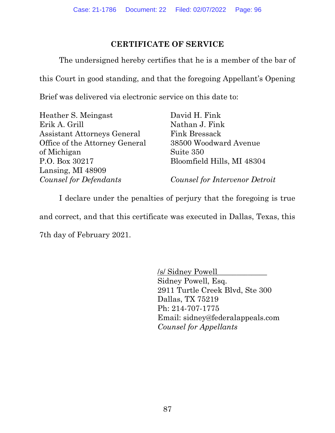#### CERTIFICATE OF SERVICE

The undersigned hereby certifies that he is a member of the bar of

this Court in good standing, and that the foregoing Appellant's Opening

Brief was delivered via electronic service on this date to:

| Heather S. Meingast                | David H. Fink                  |
|------------------------------------|--------------------------------|
| Erik A. Grill                      | Nathan J. Fink                 |
| <b>Assistant Attorneys General</b> | Fink Bressack                  |
| Office of the Attorney General     | 38500 Woodward Avenue          |
| of Michigan                        | Suite 350                      |
| P.O. Box 30217                     | Bloomfield Hills, MI 48304     |
| Lansing, MI 48909                  |                                |
| Counsel for Defendants             | Counsel for Intervenor Detroit |

I declare under the penalties of perjury that the foregoing is true

and correct, and that this certificate was executed in Dallas, Texas, this

7th day of February 2021.

 /s/ Sidney Powell\_\_\_\_\_\_\_\_\_\_\_\_\_ Sidney Powell, Esq. 2911 Turtle Creek Blvd, Ste 300 Dallas, TX 75219 Ph: 214-707-1775 Email: sidney@federalappeals.com Counsel for Appellants